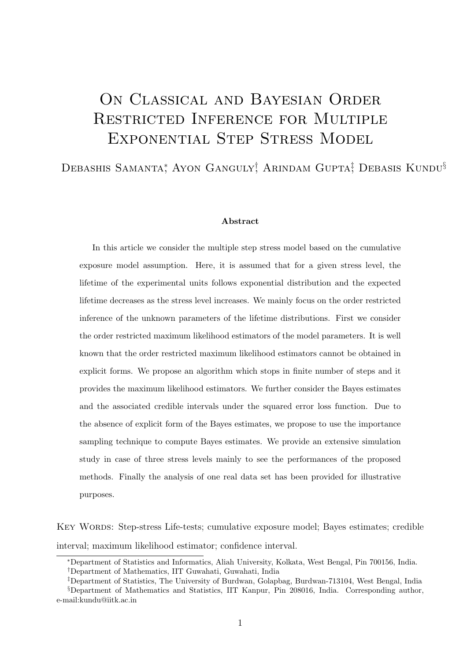# ON CLASSICAL AND BAYESIAN ORDER Restricted Inference for Multiple Exponential Step Stress Model

# Debashis Samanta<sup>\*</sup>, Ayon Ganguly<sup>†</sup>, Arindam Gupta<sup>‡</sup>, Debasis Kundu<sup>§</sup>

#### Abstract

In this article we consider the multiple step stress model based on the cumulative exposure model assumption. Here, it is assumed that for a given stress level, the lifetime of the experimental units follows exponential distribution and the expected lifetime decreases as the stress level increases. We mainly focus on the order restricted inference of the unknown parameters of the lifetime distributions. First we consider the order restricted maximum likelihood estimators of the model parameters. It is well known that the order restricted maximum likelihood estimators cannot be obtained in explicit forms. We propose an algorithm which stops in finite number of steps and it provides the maximum likelihood estimators. We further consider the Bayes estimates and the associated credible intervals under the squared error loss function. Due to the absence of explicit form of the Bayes estimates, we propose to use the importance sampling technique to compute Bayes estimates. We provide an extensive simulation study in case of three stress levels mainly to see the performances of the proposed methods. Finally the analysis of one real data set has been provided for illustrative purposes.

Key Words: Step-stress Life-tests; cumulative exposure model; Bayes estimates; credible interval; maximum likelihood estimator; confidence interval.

<sup>∗</sup>Department of Statistics and Informatics, Aliah University, Kolkata, West Bengal, Pin 700156, India.

<sup>†</sup>Department of Mathematics, IIT Guwahati, Guwahati, India

<sup>‡</sup>Department of Statistics, The University of Burdwan, Golapbag, Burdwan-713104, West Bengal, India

<sup>§</sup>Department of Mathematics and Statistics, IIT Kanpur, Pin 208016, India. Corresponding author, e-mail:kundu@iitk.ac.in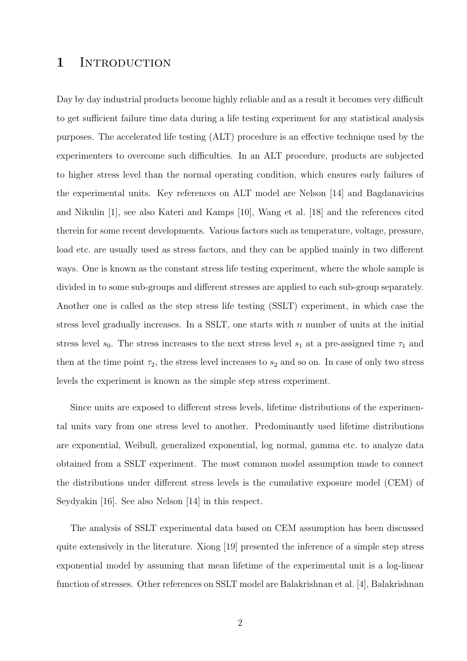# 1 INTRODUCTION

Day by day industrial products become highly reliable and as a result it becomes very difficult to get sufficient failure time data during a life testing experiment for any statistical analysis purposes. The accelerated life testing (ALT) procedure is an effective technique used by the experimenters to overcome such difficulties. In an ALT procedure, products are subjected to higher stress level than the normal operating condition, which ensures early failures of the experimental units. Key references on ALT model are Nelson [14] and Bagdanavicius and Nikulin [1], see also Kateri and Kamps [10], Wang et al. [18] and the references cited therein for some recent developments. Various factors such as temperature, voltage, pressure, load etc. are usually used as stress factors, and they can be applied mainly in two different ways. One is known as the constant stress life testing experiment, where the whole sample is divided in to some sub-groups and different stresses are applied to each sub-group separately. Another one is called as the step stress life testing (SSLT) experiment, in which case the stress level gradually increases. In a SSLT, one starts with  $n$  number of units at the initial stress level  $s_0$ . The stress increases to the next stress level  $s_1$  at a pre-assigned time  $\tau_1$  and then at the time point  $\tau_2$ , the stress level increases to  $s_2$  and so on. In case of only two stress levels the experiment is known as the simple step stress experiment.

Since units are exposed to different stress levels, lifetime distributions of the experimental units vary from one stress level to another. Predominantly used lifetime distributions are exponential, Weibull, generalized exponential, log normal, gamma etc. to analyze data obtained from a SSLT experiment. The most common model assumption made to connect the distributions under different stress levels is the cumulative exposure model (CEM) of Seydyakin [16]. See also Nelson [14] in this respect.

The analysis of SSLT experimental data based on CEM assumption has been discussed quite extensively in the literature. Xiong [19] presented the inference of a simple step stress exponential model by assuming that mean lifetime of the experimental unit is a log-linear function of stresses. Other references on SSLT model are Balakrishnan et al. [4], Balakrishnan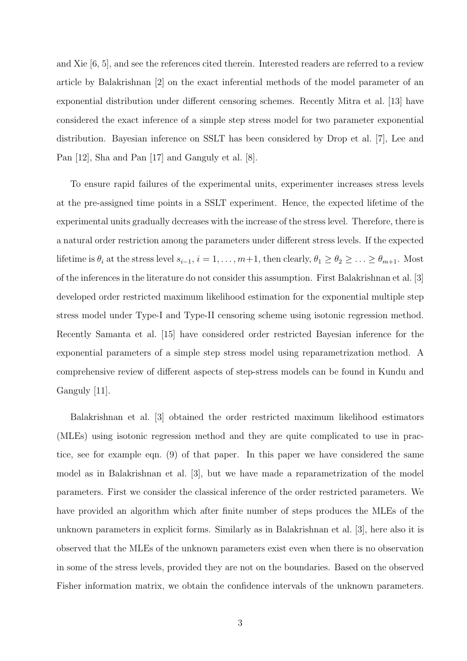and Xie [6, 5], and see the references cited therein. Interested readers are referred to a review article by Balakrishnan [2] on the exact inferential methods of the model parameter of an exponential distribution under different censoring schemes. Recently Mitra et al. [13] have considered the exact inference of a simple step stress model for two parameter exponential distribution. Bayesian inference on SSLT has been considered by Drop et al. [7], Lee and Pan [12], Sha and Pan [17] and Ganguly et al. [8].

To ensure rapid failures of the experimental units, experimenter increases stress levels at the pre-assigned time points in a SSLT experiment. Hence, the expected lifetime of the experimental units gradually decreases with the increase of the stress level. Therefore, there is a natural order restriction among the parameters under different stress levels. If the expected lifetime is  $\theta_i$  at the stress level  $s_{i-1}$ ,  $i = 1, \ldots, m+1$ , then clearly,  $\theta_1 \ge \theta_2 \ge \ldots \ge \theta_{m+1}$ . Most of the inferences in the literature do not consider this assumption. First Balakrishnan et al. [3] developed order restricted maximum likelihood estimation for the exponential multiple step stress model under Type-I and Type-II censoring scheme using isotonic regression method. Recently Samanta et al. [15] have considered order restricted Bayesian inference for the exponential parameters of a simple step stress model using reparametrization method. A comprehensive review of different aspects of step-stress models can be found in Kundu and Ganguly [11].

Balakrishnan et al. [3] obtained the order restricted maximum likelihood estimators (MLEs) using isotonic regression method and they are quite complicated to use in practice, see for example eqn. (9) of that paper. In this paper we have considered the same model as in Balakrishnan et al. [3], but we have made a reparametrization of the model parameters. First we consider the classical inference of the order restricted parameters. We have provided an algorithm which after finite number of steps produces the MLEs of the unknown parameters in explicit forms. Similarly as in Balakrishnan et al. [3], here also it is observed that the MLEs of the unknown parameters exist even when there is no observation in some of the stress levels, provided they are not on the boundaries. Based on the observed Fisher information matrix, we obtain the confidence intervals of the unknown parameters.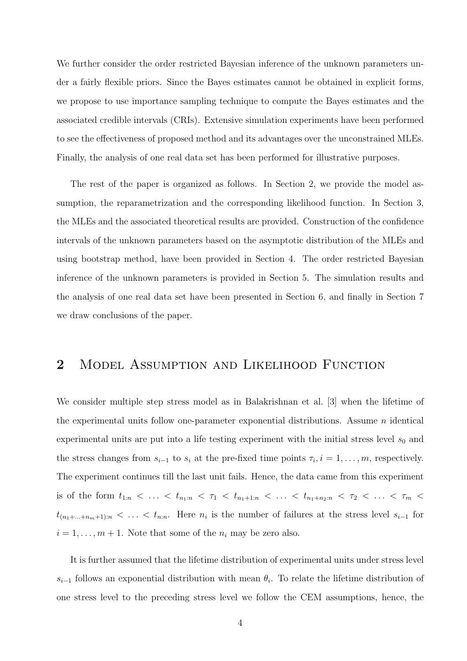We further consider the order restricted Bayesian inference of the unknown parameters under a fairly flexible priors. Since the Bayes estimates cannot be obtained in explicit forms, we propose to use importance sampling technique to compute the Bayes estimates and the associated credible intervals (CRIs). Extensive simulation experiments have been performed to see the effectiveness of proposed method and its advantages over the unconstrained MLEs. Finally, the analysis of one real data set has been performed for illustrative purposes.

The rest of the paper is organized as follows. In Section 2, we provide the model assumption, the reparametrization and the corresponding likelihood function. In Section 3, the MLEs and the associated theoretical results are provided. Construction of the confidence intervals of the unknown parameters based on the asymptotic distribution of the MLEs and using bootstrap method, have been provided in Section 4. The order restricted Bayesian inference of the unknown parameters is provided in Section 5. The simulation results and the analysis of one real data set have been presented in Section 6, and finally in Section 7 we draw conclusions of the paper.

### 2 MODEL ASSUMPTION AND LIKELIHOOD FUNCTION

We consider multiple step stress model as in Balakrishnan et al. [3] when the lifetime of the experimental units follow one-parameter exponential distributions. Assume  $n$  identical experimental units are put into a life testing experiment with the initial stress level  $s_0$  and the stress changes from  $s_{i-1}$  to  $s_i$  at the pre-fixed time points  $\tau_i, i = 1, \ldots, m$ , respectively. The experiment continues till the last unit fails. Hence, the data came from this experiment is of the form  $t_{1:n} < ... < t_{n_1:n} < \tau_1 < t_{n_1+1:n} < ... < t_{n_1+n_2:n} < \tau_2 < ... < \tau_m <$  $t_{(n_1+\ldots+n_m+1):n} < \ldots < t_{n:n}$ . Here  $n_i$  is the number of failures at the stress level  $s_{i-1}$  for  $i = 1, \ldots, m + 1$ . Note that some of the  $n_i$  may be zero also.

It is further assumed that the lifetime distribution of experimental units under stress level  $s_{i-1}$  follows an exponential distribution with mean  $\theta_i$ . To relate the lifetime distribution of one stress level to the preceding stress level we follow the CEM assumptions, hence, the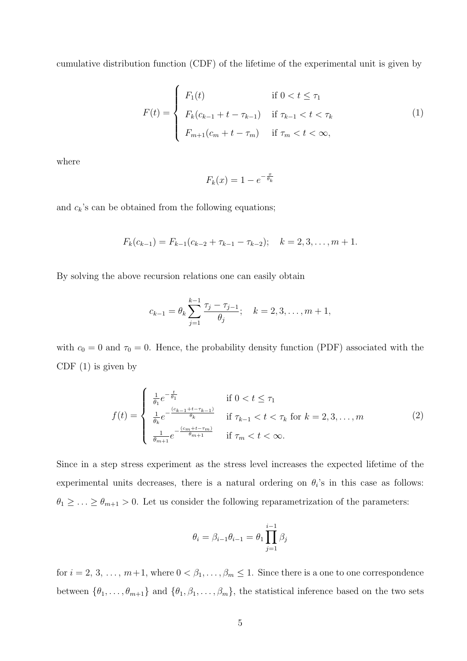cumulative distribution function (CDF) of the lifetime of the experimental unit is given by

$$
F(t) = \begin{cases} F_1(t) & \text{if } 0 < t \leq \tau_1 \\ F_k(c_{k-1} + t - \tau_{k-1}) & \text{if } \tau_{k-1} < t < \tau_k \\ F_{m+1}(c_m + t - \tau_m) & \text{if } \tau_m < t < \infty, \end{cases} \tag{1}
$$

where

$$
F_k(x) = 1 - e^{-\frac{x}{\theta_k}}
$$

and  $c_k$ 's can be obtained from the following equations;

$$
F_k(c_{k-1}) = F_{k-1}(c_{k-2} + \tau_{k-1} - \tau_{k-2}); \quad k = 2, 3, \ldots, m+1.
$$

By solving the above recursion relations one can easily obtain

$$
c_{k-1} = \theta_k \sum_{j=1}^{k-1} \frac{\tau_j - \tau_{j-1}}{\theta_j}; \quad k = 2, 3, \dots, m+1,
$$

with  $c_0 = 0$  and  $\tau_0 = 0$ . Hence, the probability density function (PDF) associated with the CDF  $(1)$  is given by

$$
f(t) = \begin{cases} \frac{1}{\theta_1} e^{-\frac{t}{\theta_1}} & \text{if } 0 < t \le \tau_1\\ \frac{1}{\theta_k} e^{-\frac{(c_{k-1} + t - \tau_{k-1})}{\theta_k}} & \text{if } \tau_{k-1} < t < \tau_k \text{ for } k = 2, 3, \dots, m\\ \frac{1}{\theta_{m+1}} e^{-\frac{(c_m + t - \tau_m)}{\theta_{m+1}}} & \text{if } \tau_m < t < \infty. \end{cases} \tag{2}
$$

Since in a step stress experiment as the stress level increases the expected lifetime of the experimental units decreases, there is a natural ordering on  $\theta_i$ 's in this case as follows:  $\theta_1 \geq \ldots \geq \theta_{m+1} > 0$ . Let us consider the following reparametrization of the parameters:

$$
\theta_i = \beta_{i-1}\theta_{i-1} = \theta_1 \prod_{j=1}^{i-1} \beta_j
$$

for  $i = 2, 3, \ldots, m+1$ , where  $0 < \beta_1, \ldots, \beta_m \leq 1$ . Since there is a one to one correspondence between  $\{\theta_1, \ldots, \theta_{m+1}\}\$  and  $\{\theta_1, \beta_1, \ldots, \beta_m\}\$ , the statistical inference based on the two sets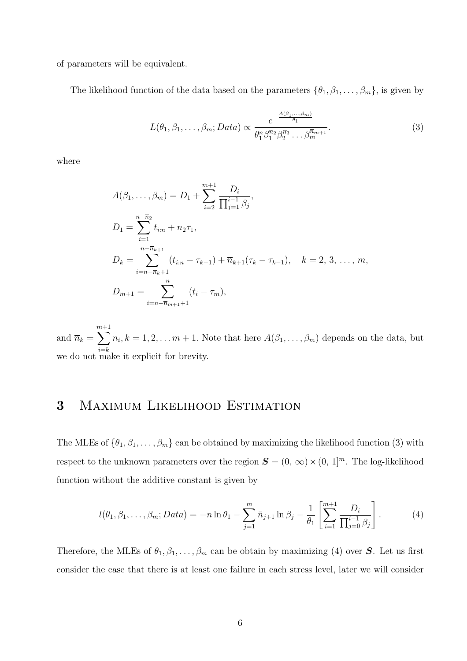of parameters will be equivalent.

The likelihood function of the data based on the parameters  $\{\theta_1, \beta_1, \dots, \beta_m\}$ , is given by

$$
L(\theta_1, \beta_1, \dots, \beta_m; Data) \propto \frac{e^{-\frac{A(\beta_1, \dots, \beta_m)}{\theta_1}}}{\theta_1^n \beta_1^{\overline{n}_2} \beta_2^{\overline{n}_3} \dots \beta_m^{\overline{n}_{m+1}}}.
$$
\n(3)

where

$$
A(\beta_1, ..., \beta_m) = D_1 + \sum_{i=2}^{m+1} \frac{D_i}{\prod_{j=1}^{i-1} \beta_j},
$$
  
\n
$$
D_1 = \sum_{i=1}^{n-\overline{n}_2} t_{i:n} + \overline{n}_2 \tau_1,
$$
  
\n
$$
D_k = \sum_{i=n-\overline{n}_k+1}^{n-\overline{n}_{k+1}} (t_{i:n} - \tau_{k-1}) + \overline{n}_{k+1} (\tau_k - \tau_{k-1}), \quad k = 2, 3, ..., m,
$$
  
\n
$$
D_{m+1} = \sum_{i=n-\overline{n}_{m+1}+1}^{n} (t_i - \tau_m),
$$

and  $\overline{n}_k = \sum^{m+1}$  $i=$  $n_i, k = 1, 2, \ldots m + 1$ . Note that here  $A(\beta_1, \ldots, \beta_m)$  depends on the data, but we do not make it explicit for brevity.

# 3 Maximum Likelihood Estimation

The MLEs of  $\{\theta_1, \beta_1, \dots, \beta_m\}$  can be obtained by maximizing the likelihood function (3) with respect to the unknown parameters over the region  $\mathbf{S} = (0, \infty) \times (0, 1]^m$ . The log-likelihood function without the additive constant is given by

$$
l(\theta_1, \beta_1, \dots, \beta_m; Data) = -n \ln \theta_1 - \sum_{j=1}^m \bar{n}_{j+1} \ln \beta_j - \frac{1}{\theta_1} \left[ \sum_{i=1}^{m+1} \frac{D_i}{\prod_{j=0}^{i-1} \beta_j} \right].
$$
 (4)

Therefore, the MLEs of  $\theta_1, \beta_1, \ldots, \beta_m$  can be obtain by maximizing (4) over S. Let us first consider the case that there is at least one failure in each stress level, later we will consider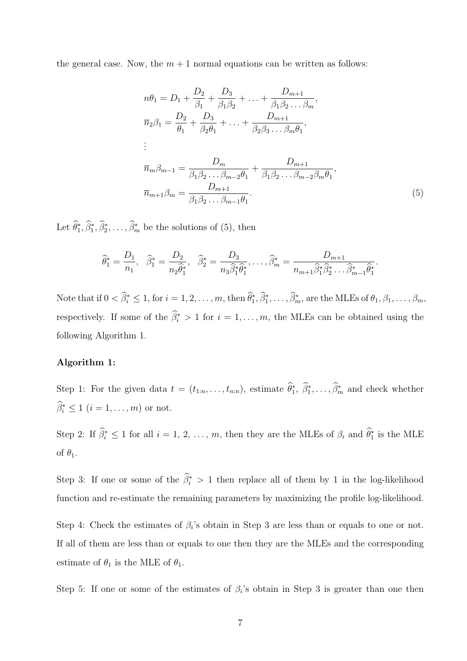the general case. Now, the  $m + 1$  normal equations can be written as follows:

$$
n\theta_1 = D_1 + \frac{D_2}{\beta_1} + \frac{D_3}{\beta_1 \beta_2} + \dots + \frac{D_{m+1}}{\beta_1 \beta_2 \dots \beta_m},
$$
  
\n
$$
\overline{n}_2 \beta_1 = \frac{D_2}{\theta_1} + \frac{D_3}{\beta_2 \theta_1} + \dots + \frac{D_{m+1}}{\beta_2 \beta_3 \dots \beta_m \theta_1},
$$
  
\n
$$
\vdots
$$
  
\n
$$
\overline{n}_m \beta_{m-1} = \frac{D_m}{\beta_1 \beta_2 \dots \beta_{m-2} \theta_1} + \frac{D_{m+1}}{\beta_1 \beta_2 \dots \beta_{m-2} \beta_m \theta_1},
$$
  
\n
$$
\overline{n}_{m+1} \beta_m = \frac{D_{m+1}}{\beta_1 \beta_2 \dots \beta_{m-1} \theta_1}.
$$
  
\n(5)

Let  $\hat{\theta}_1^*, \hat{\beta}_2^*, \dots, \hat{\beta}_m^*$  be the solutions of (5), then

$$
\widehat{\theta}_1^* = \frac{D_1}{n_1}, \quad \widehat{\beta}_1^* = \frac{D_2}{n_2 \widehat{\theta}_1^*}, \quad \widehat{\beta}_2^* = \frac{D_3}{n_3 \widehat{\beta}_1^* \widehat{\theta}_1^*}, \dots, \widehat{\beta}_m^* = \frac{D_{m+1}}{n_{m+1} \widehat{\beta}_1^* \widehat{\beta}_2^* \dots \widehat{\beta}_{m-1}^* \widehat{\theta}_1^*}.
$$

Note that if  $0 < \beta_i^* \leq 1$ , for  $i = 1, 2, ..., m$ , then  $\theta_1^*, \beta_1^*, ..., \beta_m^*$ , are the MLEs of  $\theta_1, \beta_1, ..., \beta_m$ , respectively. If some of the  $\hat{\beta}_i^* > 1$  for  $i = 1, ..., m$ , the MLEs can be obtained using the following Algorithm 1.

#### Algorithm 1:

Step 1: For the given data  $t = (t_{1:n}, \ldots, t_{n:n})$ , estimate  $\theta_1^*, \beta_1^*, \ldots, \beta_m^*$  and check whether  $\beta_i^* \leq 1$   $(i = 1, \ldots, m)$  or not.

Step 2: If  $\hat{\beta}_i^* \leq 1$  for all  $i = 1, 2, ..., m$ , then they are the MLEs of  $\beta_i$  and  $\hat{\theta}_1^*$  is the MLE of  $\theta_1$ .

Step 3: If one or some of the  $\hat{\beta}_i^* > 1$  then replace all of them by 1 in the log-likelihood function and re-estimate the remaining parameters by maximizing the profile log-likelihood.

Step 4: Check the estimates of  $\beta_i$ 's obtain in Step 3 are less than or equals to one or not. If all of them are less than or equals to one then they are the MLEs and the corresponding estimate of  $\theta_1$  is the MLE of  $\theta_1$ .

Step 5: If one or some of the estimates of  $\beta_i$ 's obtain in Step 3 is greater than one then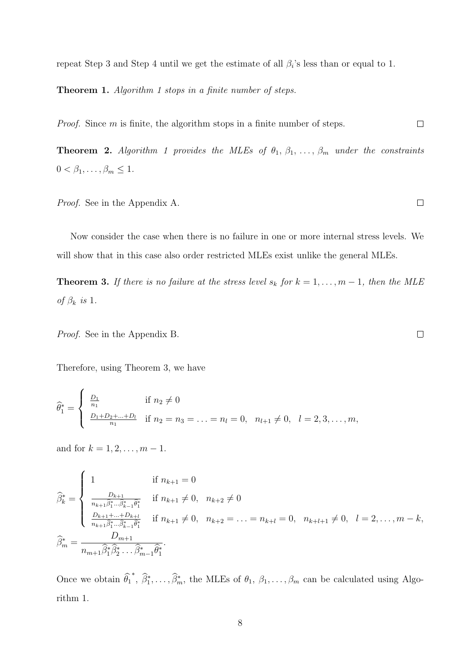repeat Step 3 and Step 4 until we get the estimate of all  $\beta_i$ 's less than or equal to 1.

Theorem 1. *Algorithm 1 stops in a finite number of steps.*

*Proof.* Since m is finite, the algorithm stops in a finite number of steps.  $\Box$ 

**Theorem 2.** *Algorithm 1 provides the MLEs of*  $\theta_1, \beta_1, \ldots, \beta_m$  *under the constraints*  $0 < \beta_1, \ldots, \beta_m \leq 1.$ 

*Proof.* See in the Appendix A.

Now consider the case when there is no failure in one or more internal stress levels. We will show that in this case also order restricted MLEs exist unlike the general MLEs.

**Theorem 3.** If there is no failure at the stress level  $s_k$  for  $k = 1, \ldots, m-1$ , then the MLE *of*  $\beta_k$  *is* 1.

*Proof.* See in the Appendix B.

Therefore, using Theorem 3, we have

$$
\widehat{\theta}_1^* = \begin{cases} \frac{D_1}{n_1} & \text{if } n_2 \neq 0 \\ \frac{D_1 + D_2 + \dots + D_l}{n_1} & \text{if } n_2 = n_3 = \dots = n_l = 0, \quad n_{l+1} \neq 0, \quad l = 2, 3, \dots, m, \end{cases}
$$

and for  $k = 1, 2, ..., m - 1$ .

$$
\widehat{\beta}_{k}^{*} = \begin{cases}\n1 & \text{if } n_{k+1} = 0 \\
\frac{D_{k+1}}{n_{k+1}\widehat{\beta}_{1}^{*}...\widehat{\beta}_{k-1}^{*}\widehat{\theta}_{1}^{*}} & \text{if } n_{k+1} \neq 0, \quad n_{k+2} \neq 0 \\
\frac{D_{k+1} + \dots + D_{k+l}}{n_{k+1}\widehat{\beta}_{1}^{*}...\widehat{\beta}_{k-1}^{*}\widehat{\theta}_{1}^{*}} & \text{if } n_{k+1} \neq 0, \quad n_{k+2} = \dots = n_{k+l} = 0, \quad n_{k+l+1} \neq 0, \quad l = 2, \dots, m-k, \\
\widehat{\beta}_{m}^{*} = \frac{D_{m+1}}{n_{m+1}\widehat{\beta}_{1}^{*}\widehat{\beta}_{2}^{*}...\widehat{\beta}_{m-1}^{*}\widehat{\theta}_{1}^{*}}.\n\end{cases}
$$

Once we obtain  $\hat{\theta}_1^*, \hat{\beta}_1^*, \ldots, \hat{\beta}_m^*$ , the MLEs of  $\theta_1, \beta_1, \ldots, \beta_m$  can be calculated using Algorithm 1.

 $\Box$ 

 $\Box$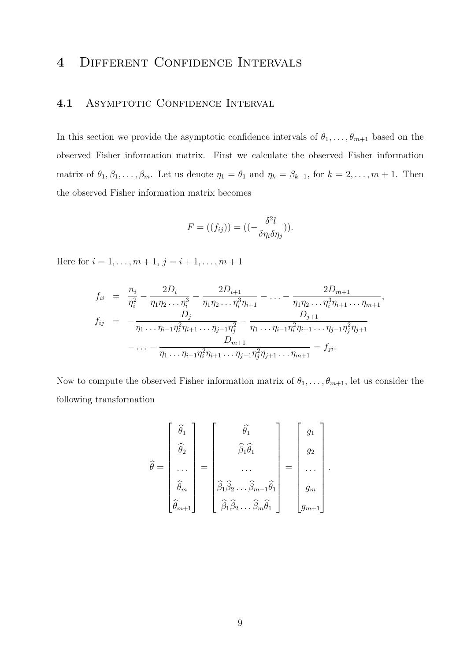# 4 DIFFERENT CONFIDENCE INTERVALS

### 4.1 ASYMPTOTIC CONFIDENCE INTERVAL

In this section we provide the asymptotic confidence intervals of  $\theta_1, \ldots, \theta_{m+1}$  based on the observed Fisher information matrix. First we calculate the observed Fisher information matrix of  $\theta_1, \beta_1, \ldots, \beta_m$ . Let us denote  $\eta_1 = \theta_1$  and  $\eta_k = \beta_{k-1}$ , for  $k = 2, \ldots, m+1$ . Then the observed Fisher information matrix becomes

$$
F = ((f_{ij})) = ((-\frac{\delta^2 l}{\delta \eta_i \delta \eta_j})).
$$

Here for  $i = 1, ..., m + 1, j = i + 1, ..., m + 1$ 

$$
f_{ii} = \frac{\overline{n}_i}{\eta_i^2} - \frac{2D_i}{\eta_1 \eta_2 \dots \eta_i^3} - \frac{2D_{i+1}}{\eta_1 \eta_2 \dots \eta_i^3 \eta_{i+1}} - \dots - \frac{2D_{m+1}}{\eta_1 \eta_2 \dots \eta_i^3 \eta_{i+1} \dots \eta_{m+1}},
$$
  
\n
$$
f_{ij} = -\frac{D_j}{\eta_1 \dots \eta_{i-1} \eta_i^2 \eta_{i+1} \dots \eta_{j-1} \eta_j^2} - \frac{D_{j+1}}{\eta_1 \dots \eta_{i-1} \eta_i^2 \eta_{i+1} \dots \eta_{j-1} \eta_j^2 \eta_{j+1}} - \dots - \frac{D_{m+1}}{\eta_1 \dots \eta_{i-1} \eta_i^2 \eta_{i+1} \dots \eta_{j-1} \eta_j^2 \eta_{j+1} \dots \eta_{m+1}} = f_{ji}.
$$

Now to compute the observed Fisher information matrix of  $\theta_1, \ldots, \theta_{m+1}$ , let us consider the following transformation

$$
\widehat{\theta} = \begin{bmatrix} \widehat{\theta}_1 \\ \widehat{\theta}_2 \\ \vdots \\ \widehat{\theta}_m \\ \widehat{\theta}_{m+1} \end{bmatrix} = \begin{bmatrix} \widehat{\theta}_1 \\ \widehat{\beta}_1 \widehat{\theta}_1 \\ \vdots \\ \widehat{\beta}_1 \widehat{\beta}_2 \dots \widehat{\beta}_{m-1} \widehat{\theta}_1 \\ \widehat{\beta}_1 \widehat{\beta}_2 \dots \widehat{\beta}_m \widehat{\theta}_1 \end{bmatrix} = \begin{bmatrix} g_1 \\ g_2 \\ \vdots \\ g_m \\ g_{m+1} \end{bmatrix}.
$$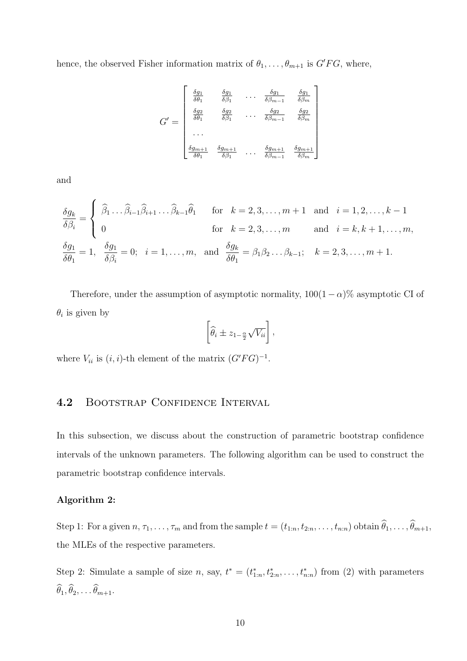hence, the observed Fisher information matrix of  $\theta_1, \ldots, \theta_{m+1}$  is  $G'FG$ , where,

$$
G' = \begin{bmatrix} \frac{\delta g_1}{\delta \theta_1} & \frac{\delta g_1}{\delta \beta_1} & \cdots & \frac{\delta g_1}{\delta \beta_{m-1}} & \frac{\delta g_1}{\delta \beta_m} \\ \frac{\delta g_2}{\delta \theta_1} & \frac{\delta g_2}{\delta \beta_1} & \cdots & \frac{\delta g_2}{\delta \beta_{m-1}} & \frac{\delta g_2}{\delta \beta_m} \\ \cdots & \cdots & \cdots & \cdots \\ \frac{\delta g_{m+1}}{\delta \theta_1} & \frac{\delta g_{m+1}}{\delta \beta_1} & \cdots & \frac{\delta g_{m+1}}{\delta \beta_{m-1}} & \frac{\delta g_{m+1}}{\delta \beta_m} \end{bmatrix}
$$

and

$$
\frac{\delta g_k}{\delta \beta_i} = \begin{cases}\n\hat{\beta}_1 \dots \hat{\beta}_{i-1} \hat{\beta}_{i+1} \dots \hat{\beta}_{k-1} \hat{\theta}_1 & \text{for } k = 2, 3, \dots, m+1 \text{ and } i = 1, 2, \dots, k-1 \\
0 & \text{for } k = 2, 3, \dots, m \text{ and } i = k, k+1, \dots, m, \\
\frac{\delta g_1}{\delta \theta_1} = 1, \quad \frac{\delta g_1}{\delta \beta_i} = 0; \quad i = 1, \dots, m, \text{ and } \frac{\delta g_k}{\delta \theta_1} = \beta_1 \beta_2 \dots \beta_{k-1}; \quad k = 2, 3, \dots, m+1.\n\end{cases}
$$

Therefore, under the assumption of asymptotic normality,  $100(1 - \alpha)$ % asymptotic CI of  $\theta_i$  is given by

$$
\left[\widehat{\theta}_i \pm z_{1-\frac{\alpha}{2}}\sqrt{V_{ii}}\right],
$$

where  $V_{ii}$  is  $(i, i)$ -th element of the matrix  $(G'FG)^{-1}$ .

# 4.2 BOOTSTRAP CONFIDENCE INTERVAL

In this subsection, we discuss about the construction of parametric bootstrap confidence intervals of the unknown parameters. The following algorithm can be used to construct the parametric bootstrap confidence intervals.

#### Algorithm 2:

Step 1: For a given  $n, \tau_1, \ldots, \tau_m$  and from the sample  $t = (t_{1:n}, t_{2:n}, \ldots, t_{n:n})$  obtain  $\widehat{\theta}_1, \ldots, \widehat{\theta}_{m+1}$ , the MLEs of the respective parameters.

Step 2: Simulate a sample of size n, say,  $t^* = (t^*_{1:n}, t^*_{2:n}, \ldots, t^*_{n:n})$  from (2) with parameters  $\widehat{\theta}_1, \widehat{\theta}_2, \ldots \widehat{\theta}_{m+1}.$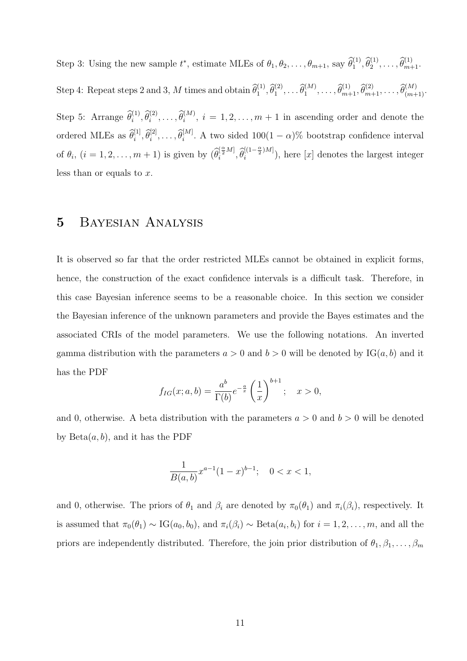Step 3: Using the new sample  $t^*$ , estimate MLEs of  $\theta_1, \theta_2, \ldots, \theta_{m+1}$ , say  $\widehat{\theta}_1^{(1)}, \widehat{\theta}_2^{(1)}, \ldots, \widehat{\theta}_{m+1}^{(1)}$ . Step 4: Repeat steps 2 and 3, M times and obtain  $\widehat{\theta}_1^{(1)}, \widehat{\theta}_1^{(2)}, \ldots \widehat{\theta}_1^{(M)}, \ldots, \widehat{\theta}_{m+1}^{(1)}, \widehat{\theta}_{m+1}^{(2)}, \ldots, \widehat{\theta}_{(m+1)}^{(M)}$ . Step 5: Arrange  $\hat{\theta}_i^{(1)}, \hat{\theta}_i^{(2)}, \ldots, \hat{\theta}_i^{(M)}$ ,  $i = 1, 2, \ldots, m + 1$  in ascending order and denote the ordered MLEs as  $\hat{\theta}_i^{[1]}, \hat{\theta}_i^{[2]}, \dots, \hat{\theta}_i^{[M]}$ . A two sided  $100(1-\alpha)\%$  bootstrap confidence interval of  $\theta_i$ ,  $(i = 1, 2, ..., m + 1)$  is given by  $(\widehat{\theta}_i^{\left[\frac{\alpha}{2}M\right]}, \widehat{\theta}_i^{\left[(1-\frac{\alpha}{2})M\right]}$  $\binom{[(1-\frac{1}{2})M]}{i}$ , here  $[x]$  denotes the largest integer less than or equals to x.

### 5 Bayesian Analysis

It is observed so far that the order restricted MLEs cannot be obtained in explicit forms, hence, the construction of the exact confidence intervals is a difficult task. Therefore, in this case Bayesian inference seems to be a reasonable choice. In this section we consider the Bayesian inference of the unknown parameters and provide the Bayes estimates and the associated CRIs of the model parameters. We use the following notations. An inverted gamma distribution with the parameters  $a > 0$  and  $b > 0$  will be denoted by IG $(a, b)$  and it has the PDF

$$
f_{IG}(x;a,b) = \frac{a^b}{\Gamma(b)} e^{-\frac{a}{x}} \left(\frac{1}{x}\right)^{b+1}; \quad x > 0,
$$

and 0, otherwise. A beta distribution with the parameters  $a > 0$  and  $b > 0$  will be denoted by  $Beta(a, b)$ , and it has the PDF

$$
\frac{1}{B(a,b)}x^{a-1}(1-x)^{b-1}; \quad 0 < x < 1,
$$

and 0, otherwise. The priors of  $\theta_1$  and  $\beta_i$  are denoted by  $\pi_0(\theta_1)$  and  $\pi_i(\beta_i)$ , respectively. It is assumed that  $\pi_0(\theta_1) \sim \text{IG}(a_0, b_0)$ , and  $\pi_i(\beta_i) \sim \text{Beta}(a_i, b_i)$  for  $i = 1, 2, \ldots, m$ , and all the priors are independently distributed. Therefore, the join prior distribution of  $\theta_1, \beta_1, \ldots, \beta_m$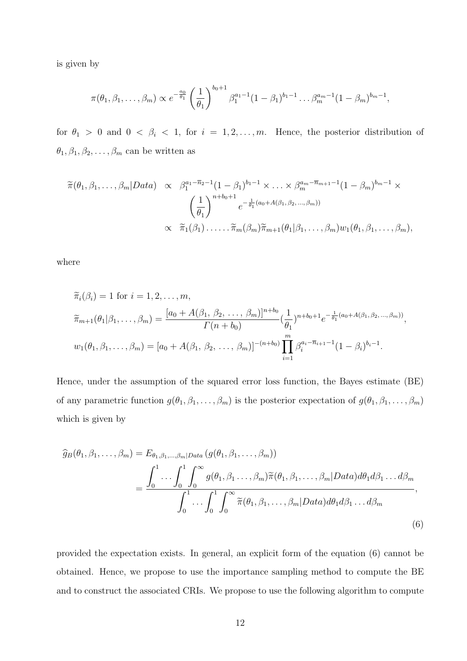is given by

$$
\pi(\theta_1, \beta_1, \ldots, \beta_m) \propto e^{-\frac{a_0}{\theta_1}} \left(\frac{1}{\theta_1}\right)^{b_0+1} \beta_1^{a_1-1} (1-\beta_1)^{b_1-1} \ldots \beta_m^{a_m-1} (1-\beta_m)^{b_m-1},
$$

for  $\theta_1 > 0$  and  $0 < \beta_i < 1$ , for  $i = 1, 2, ..., m$ . Hence, the posterior distribution of  $\theta_1, \beta_1, \beta_2, \ldots, \beta_m$  can be written as

$$
\widetilde{\pi}(\theta_1, \beta_1, \dots, \beta_m | Data) \propto \beta_1^{a_1 - \overline{n}_2 - 1} (1 - \beta_1)^{b_1 - 1} \times \dots \times \beta_m^{a_m - \overline{n}_{m+1} - 1} (1 - \beta_m)^{b_m - 1} \times \left(\frac{1}{\theta_1}\right)^{n + b_0 + 1} e^{-\frac{1}{\theta_1}(a_0 + A(\beta_1, \beta_2, \dots, \beta_m))} \times \widetilde{\pi}_1(\beta_1) \dots \dots \widetilde{\pi}_m(\beta_m) \widetilde{\pi}_{m+1}(\theta_1 | \beta_1, \dots, \beta_m) w_1(\theta_1, \beta_1, \dots, \beta_m),
$$

where

$$
\widetilde{\pi}_i(\beta_i) = 1 \text{ for } i = 1, 2, \dots, m,
$$
\n
$$
\widetilde{\pi}_{m+1}(\theta_1 | \beta_1, \dots, \beta_m) = \frac{[a_0 + A(\beta_1, \beta_2, \dots, \beta_m)]^{n+b_0}}{\Gamma(n+b_0)} \left(\frac{1}{\theta_1}\right)^{n+b_0+1} e^{-\frac{1}{\theta_1}(a_0 + A(\beta_1, \beta_2, \dots, \beta_m))},
$$
\n
$$
w_1(\theta_1, \beta_1, \dots, \beta_m) = [a_0 + A(\beta_1, \beta_2, \dots, \beta_m)]^{-(n+b_0)} \prod_{i=1}^m \beta_i^{a_i - \overline{n}_{i+1} - 1} (1 - \beta_i)^{b_i - 1}.
$$

Hence, under the assumption of the squared error loss function, the Bayes estimate (BE) of any parametric function  $g(\theta_1, \beta_1, \ldots, \beta_m)$  is the posterior expectation of  $g(\theta_1, \beta_1, \ldots, \beta_m)$ which is given by

$$
\widehat{g}_B(\theta_1, \beta_1, \dots, \beta_m) = E_{\theta_1, \beta_1, \dots, \beta_m | Data} (g(\theta_1, \beta_1, \dots, \beta_m))
$$
  
= 
$$
\frac{\int_0^1 \dots \int_0^1 \int_0^\infty g(\theta_1, \beta_1, \dots, \beta_m) \widetilde{\pi}(\theta_1, \beta_1, \dots, \beta_m | Data) d\theta_1 d\beta_1 \dots d\beta_m}{\int_0^1 \dots \int_0^1 \int_0^\infty \widetilde{\pi}(\theta_1, \beta_1, \dots, \beta_m | Data) d\theta_1 d\beta_1 \dots d\beta_m},
$$
\n(6)

provided the expectation exists. In general, an explicit form of the equation (6) cannot be obtained. Hence, we propose to use the importance sampling method to compute the BE and to construct the associated CRIs. We propose to use the following algorithm to compute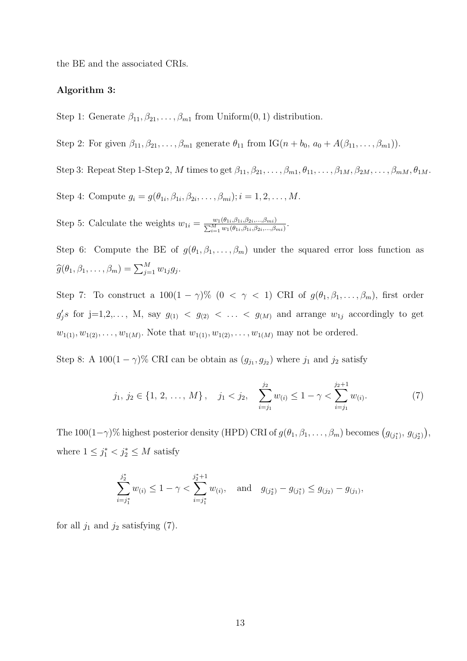the BE and the associated CRIs.

#### Algorithm 3:

Step 1: Generate  $\beta_{11}, \beta_{21}, \ldots, \beta_{m1}$  from Uniform $(0, 1)$  distribution.

Step 2: For given  $\beta_{11}, \beta_{21}, \ldots, \beta_{m1}$  generate  $\theta_{11}$  from IG( $n + b_0$ ,  $a_0 + A(\beta_{11}, \ldots, \beta_{m1})$ ).

Step 3: Repeat Step 1-Step 2, M times to get  $\beta_{11}, \beta_{21}, \ldots, \beta_{m1}, \theta_{11}, \ldots, \beta_{1M}, \beta_{2M}, \ldots, \beta_{mM}, \theta_{1M}$ .

Step 4: Compute  $g_i = g(\theta_{1i}, \beta_{1i}, \beta_{2i}, \dots, \beta_{mi}); i = 1, 2, \dots, M$ .

Step 5: Calculate the weights  $w_{1i} = \frac{w_1(\theta_{1i}, \beta_{1i}, \beta_{2i}, ..., \beta_{mi})}{\sum_{i=1}^{M} w_1(\theta_{1i}, \beta_{1i}, \beta_{2i}, ..., \beta_{mi})}$ .

Step 6: Compute the BE of  $g(\theta_1, \beta_1, \ldots, \beta_m)$  under the squared error loss function as  $\widehat{g}(\theta_1, \beta_1, \ldots, \beta_m) = \sum_{j=1}^M w_{1j} g_j.$ 

Step 7: To construct a  $100(1 - \gamma)\%$   $(0 \le \gamma \le 1)$  CRI of  $g(\theta_1, \beta_1, \ldots, \beta_m)$ , first order  $g'_j s$  for  $j=1,2,..., M$ , say  $g_{(1)} < g_{(2)} < ... < g_{(M)}$  and arrange  $w_{1j}$  accordingly to get  $w_{1(1)}, w_{1(2)}, \ldots, w_{1(M)}$ . Note that  $w_{1(1)}, w_{1(2)}, \ldots, w_{1(M)}$  may not be ordered.

Step 8: A 100 $(1 - \gamma)$ % CRI can be obtain as  $(g_{j_1}, g_{j_2})$  where  $j_1$  and  $j_2$  satisfy

$$
j_1, j_2 \in \{1, 2, ..., M\}, \quad j_1 < j_2, \quad \sum_{i=j_1}^{j_2} w_{(i)} \le 1 - \gamma < \sum_{i=j_1}^{j_2+1} w_{(i)}.
$$
 (7)

The 100(1- $\gamma$ )% highest posterior density (HPD) CRI of  $g(\theta_1, \beta_1, \ldots, \beta_m)$  becomes  $(g_{(j_1^*)}, g_{(j_2^*)})$ , where  $1 \leq j_1^* < j_2^* \leq M$  satisfy

$$
\sum_{i=j_1^*}^{j_2^*} w_{(i)} \le 1 - \gamma < \sum_{i=j_1^*}^{j_2^*+1} w_{(i)}, \quad \text{and} \quad g_{(j_2^*)} - g_{(j_1^*)} \le g_{(j_2)} - g_{(j_1)},
$$

for all  $j_1$  and  $j_2$  satisfying (7).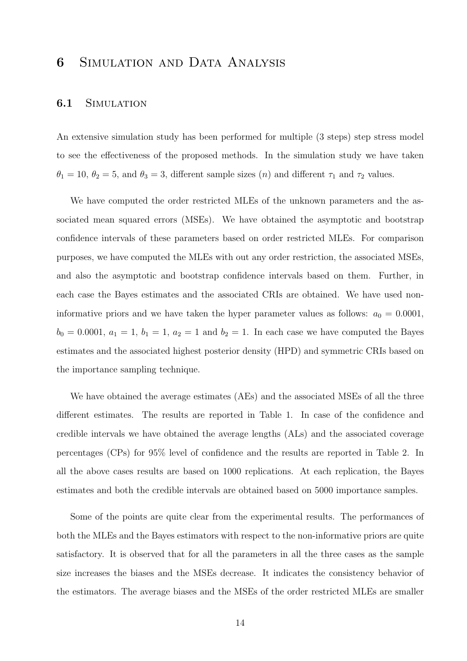# 6 Simulation and Data Analysis

#### 6.1 SIMULATION

An extensive simulation study has been performed for multiple (3 steps) step stress model to see the effectiveness of the proposed methods. In the simulation study we have taken  $\theta_1 = 10, \theta_2 = 5$ , and  $\theta_3 = 3$ , different sample sizes  $(n)$  and different  $\tau_1$  and  $\tau_2$  values.

We have computed the order restricted MLEs of the unknown parameters and the associated mean squared errors (MSEs). We have obtained the asymptotic and bootstrap confidence intervals of these parameters based on order restricted MLEs. For comparison purposes, we have computed the MLEs with out any order restriction, the associated MSEs, and also the asymptotic and bootstrap confidence intervals based on them. Further, in each case the Bayes estimates and the associated CRIs are obtained. We have used noninformative priors and we have taken the hyper parameter values as follows:  $a_0 = 0.0001$ ,  $b_0 = 0.0001, a_1 = 1, b_1 = 1, a_2 = 1$  and  $b_2 = 1$ . In each case we have computed the Bayes estimates and the associated highest posterior density (HPD) and symmetric CRIs based on the importance sampling technique.

We have obtained the average estimates (AEs) and the associated MSEs of all the three different estimates. The results are reported in Table 1. In case of the confidence and credible intervals we have obtained the average lengths (ALs) and the associated coverage percentages (CPs) for 95% level of confidence and the results are reported in Table 2. In all the above cases results are based on 1000 replications. At each replication, the Bayes estimates and both the credible intervals are obtained based on 5000 importance samples.

Some of the points are quite clear from the experimental results. The performances of both the MLEs and the Bayes estimators with respect to the non-informative priors are quite satisfactory. It is observed that for all the parameters in all the three cases as the sample size increases the biases and the MSEs decrease. It indicates the consistency behavior of the estimators. The average biases and the MSEs of the order restricted MLEs are smaller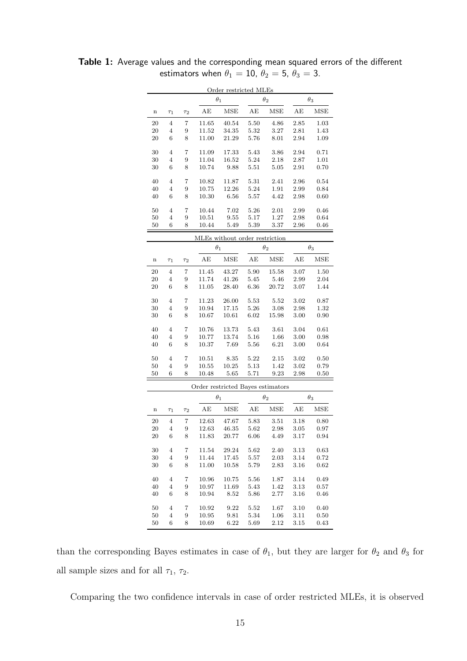|             |                |          |                | Order restricted MLEs             |              |              |              |                   |
|-------------|----------------|----------|----------------|-----------------------------------|--------------|--------------|--------------|-------------------|
|             |                |          |                | $\theta_1$                        |              | $\theta_2$   |              | $\theta_3$        |
| $\mathbf n$ | $\tau_1$       | $\tau_2$ | AЕ             | <b>MSE</b>                        | АE           | <b>MSE</b>   | AE           | <b>MSE</b>        |
| 20          | $\overline{4}$ | 7        | 11.65          | 40.54                             | 5.50         | 4.86         | 2.85         | 1.03              |
| 20          | 4              | 9        | 11.52          | 34.35                             | 5.32         | 3.27         | 2.81         | 1.43              |
| 20          | 6              | 8        | 11.00          | 21.29                             | 5.76         | 8.01         | 2.94         | 1.09              |
| 30          | $\overline{4}$ | 7        | 11.09          | 17.33                             | 5.43         | 3.86         | 2.94         | 0.71              |
| 30          | $\overline{4}$ | 9        | 11.04          | 16.52                             | 5.24         | 2.18         | 2.87         | 1.01              |
| 30          | 6              | 8        | 10.74          | 9.88                              | 5.51         | 5.05         | 2.91         | 0.70              |
| 40          | $\overline{4}$ | 7        | 10.82          | 11.87                             | 5.31         | 2.41         | 2.96         | 0.54              |
| 40          | $\overline{4}$ | 9        | 10.75          | 12.26                             | 5.24         | 1.91         | 2.99         | 0.84              |
| 40          | 6              | 8        | 10.30          | 6.56                              | 5.57         | 4.42         | 2.98         | 0.60              |
|             |                |          |                |                                   |              |              |              |                   |
| 50          | 4              | 7        | 10.44          | 7.02                              | 5.26         | 2.01         | 2.99         | 0.46              |
| 50          | 4              | 9        | 10.51          | 9.55                              | 5.17         | 1.27         | 2.98         | 0.64              |
| 50          | 6              | 8        | 10.44          | 5.49                              | 5.39         | 3.37         | 2.96         | 0.46              |
|             |                |          |                | MLEs without order restriction    |              |              |              |                   |
|             |                |          | $\theta_1$     |                                   |              | $\theta_2$   |              | $\theta_3$        |
| $\mathbf n$ | $\tau_1$       | $\tau_2$ | AЕ             | MSE                               | AE           | <b>MSE</b>   | AE           | <b>MSE</b>        |
| 20          | $\overline{4}$ | 7        | 11.45          | 43.27                             | 5.90         | 15.58        | 3.07         | 1.50              |
| 20          | 4              | 9        | 11.74          | 41.26                             | 5.45         | 5.46         | 2.99         | 2.04              |
| 20          | 6              | 8        | 11.05          | 28.40                             | 6.36         | 20.72        | 3.07         | 1.44              |
|             |                |          |                |                                   |              |              |              |                   |
| 30          | $\overline{4}$ | 7        | 11.23          | 26.00                             | 5.53         | 5.52         | 3.02         | 0.87              |
| 30          | 4              | 9        | 10.94          | 17.15                             | 5.26         | 3.08         | 2.98         | 1.32              |
| 30          | 6              | 8        | 10.67          | 10.61                             | 6.02         | 15.98        | 3.00         | $_{0.90}$         |
| 40          | $\overline{4}$ | 7        | 10.76          | 13.73                             | 5.43<br>3.61 |              | 3.04         | 0.61              |
| 40          | 4              | 9        | 10.77          | 13.74                             | 5.16         | 1.66         | 3.00         | 0.98              |
| 40          | 6              | 8        | 10.37          | 7.69                              | 5.56         | 6.21         | 3.00         | 0.64              |
|             |                |          |                |                                   |              |              |              |                   |
| 50          | 4              | 7        | 10.51          | 8.35                              | 5.22         | 2.15         | $3.02\,$     | 0.50              |
| 50<br>50    | 4<br>6         | 9<br>8   | 10.55<br>10.48 | 10.25<br>5.65                     | 5.13<br>5.71 | 1.42<br>9.23 | 3.02<br>2.98 | 0.79<br>$_{0.50}$ |
|             |                |          |                |                                   |              |              |              |                   |
|             |                |          |                | Order restricted Bayes estimators |              |              |              |                   |
|             |                |          |                | $\theta_1$                        |              | $\theta_2$   |              | $\theta_3$        |
| $\mathbf n$ | $\tau_1$       | $\tau_2$ | AЕ             | <b>MSE</b>                        | AЕ           | <b>MSE</b>   | AЕ           | <b>MSE</b>        |
| 20          | 4              | 7        | 12.63          | 47.67                             | 5.83         | 3.51         | 3.18         | 0.80              |
| 20          | 4              | 9        | 12.63          | 46.35                             | 5.62         | 2.98         | 3.05         | 0.97              |
| 20          | 6              | 8        | 11.83          | 20.77                             | 6.06         | 4.49         | 3.17         | 0.94              |
| 30          | $\overline{4}$ | 7        | 11.54          | 29.24                             | 5.62         | 2.40         | 3.13         | 0.63              |
| 30          | 4              | 9        | 11.44          | 17.45                             | 5.57         | $2.03\,$     | 3.14         | 0.72              |
| $30\,$      | 6              | 8        | 11.00          | 10.58                             | 5.79         | 2.83         | 3.16         | 0.62              |
| 40          |                |          |                |                                   |              |              |              |                   |
|             | 4              | 7        | 10.96          | 10.75                             | $5.56\,$     | 1.87         | 3.14         | 0.49              |
| 40          | $\overline{4}$ | 9        | 10.97          | 11.69                             | 5.43         | 1.42         | 3.13         | 0.57              |
| 40          | 6              | 8        | 10.94          | 8.52                              | 5.86         | 2.77         | 3.16         | 0.46              |
| 50          | 4              | 7        | 10.92          | 9.22                              | 5.52         | 1.67         | 3.10         | 0.40              |
| 50          | 4              | 9        | 10.95          | 9.81                              | 5.34         | 1.06         | 3.11         | $0.50\,$          |
| 50          | 6              | 8        | 10.69          | 6.22                              | 5.69         | 2.12         | 3.15         | 0.43              |

Table 1: Average values and the corresponding mean squared errors of the different estimators when  $\theta_1 = 10$ ,  $\theta_2 = 5$ ,  $\theta_3 = 3$ .

than the corresponding Bayes estimates in case of  $\theta_1$ , but they are larger for  $\theta_2$  and  $\theta_3$  for all sample sizes and for all  $\tau_1$ ,  $\tau_2$ .

Comparing the two confidence intervals in case of order restricted MLEs, it is observed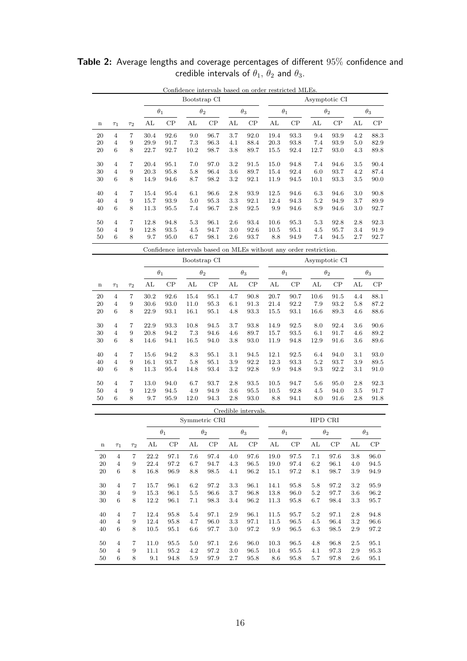|             | Confidence intervals based on order restricted MLEs. |          |            |              |            |      |            |      |            |      |               |      |            |      |  |  |  |  |
|-------------|------------------------------------------------------|----------|------------|--------------|------------|------|------------|------|------------|------|---------------|------|------------|------|--|--|--|--|
|             |                                                      |          |            | Bootstrap CI |            |      |            |      |            |      | Asymptotic CI |      |            |      |  |  |  |  |
|             |                                                      |          | $\theta_1$ |              | $\theta_2$ |      | $\theta_3$ |      | $\theta_1$ |      | $\theta_2$    |      | $\theta_3$ |      |  |  |  |  |
| $\mathbf n$ | $\tau_1$                                             | $\tau_2$ | AL         | CP           | AL         | CP   | AL         | CP   | AL         | CP   | AL            | CP   | AL         | CP   |  |  |  |  |
| 20          | 4                                                    | 7        | 30.4       | 92.6         | 9.0        | 96.7 | 3.7        | 92.0 | 19.4       | 93.3 | 9.4           | 93.9 | 4.2        | 88.3 |  |  |  |  |
| 20          | 4                                                    | 9        | 29.9       | 91.7         | 7.3        | 96.3 | 4.1        | 88.4 | 20.3       | 93.8 | 7.4           | 93.9 | 5.0        | 82.9 |  |  |  |  |
| 20          | 6                                                    | 8        | 22.7       | 92.7         | 10.2       | 98.7 | 3.8        | 89.7 | 15.5       | 92.4 | 12.7          | 93.0 | 4.3        | 89.8 |  |  |  |  |
| 30          | 4                                                    | 7        | 20.4       | 95.1         | 7.0        | 97.0 | 3.2        | 91.5 | 15.0       | 94.8 | 7.4           | 94.6 | 3.5        | 90.4 |  |  |  |  |
| 30          | 4                                                    | 9        | 20.3       | 95.8         | 5.8        | 96.4 | 3.6        | 89.7 | 15.4       | 92.4 | 6.0           | 93.7 | 4.2        | 87.4 |  |  |  |  |
| 30          | 6                                                    | 8        | 14.9       | 94.6         | 8.7        | 98.2 | 3.2        | 92.1 | 11.9       | 94.5 | 10.1          | 93.3 | $3.5\,$    | 90.0 |  |  |  |  |
| 40          | 4                                                    | 7        | 15.4       | 95.4         | 6.1        | 96.6 | 2.8        | 93.9 | 12.5       | 94.6 | 6.3           | 94.6 | 3.0        | 90.8 |  |  |  |  |
| 40          | 4                                                    | 9        | 15.7       | 93.9         | 5.0        | 95.3 | 3.3        | 92.1 | 12.4       | 94.3 | 5.2           | 94.9 | 3.7        | 89.9 |  |  |  |  |
| 40          | 6                                                    | 8        | 11.3       | 95.5         | 7.4        | 96.7 | 2.8        | 92.5 | 9.9        | 94.6 | 8.9           | 94.6 | 3.0        | 92.7 |  |  |  |  |
| 50          | 4                                                    | 7        | 12.8       | 94.8         | 5.3        | 96.1 | 2.6        | 93.4 | 10.6       | 95.3 | 5.3           | 92.8 | 2.8        | 92.3 |  |  |  |  |
| 50          | 4                                                    | 9        | 12.8       | 93.5         | 4.5        | 94.7 | 3.0        | 92.6 | 10.5       | 95.1 | 4.5           | 95.7 | 3.4        | 91.9 |  |  |  |  |
| 50          | 6                                                    | 8        | 9.7        | 95.0         | 6.7        | 98.1 | 2.6        | 93.7 | 8.8        | 94.9 | 7.4           | 94.5 | 2.7        | 92.7 |  |  |  |  |

**Table 2:** Average lengths and coverage percentages of different  $95\%$  confidence and credible intervals of  $\theta_1,\,\theta_2$  and  $\theta_3.$ 

|             |                |                |      |            | Bootstrap CI |      | Asymptotic CI |      |            |      |            |      |            |      |
|-------------|----------------|----------------|------|------------|--------------|------|---------------|------|------------|------|------------|------|------------|------|
|             |                | $\theta_1$     |      | $\theta_2$ |              |      | $\theta_3$    |      | $\theta_1$ |      | $\theta_2$ |      | $\theta_3$ |      |
| $\mathbf n$ | $\tau_1$       | T2             | AL   | CP         | AL           | CP   | AL            | CP   | AL         | CP   | AL         | CP   | AL         | CP   |
| 20          | $\overline{4}$ | 7              | 30.2 | 92.6       | 15.4         | 95.1 | 4.7           | 90.8 | 20.7       | 90.7 | 10.6       | 91.5 | 4.4        | 88.1 |
| 20          | $\overline{4}$ | 9              | 30.6 | 93.0       | 11.0         | 95.3 | 6.1           | 91.3 | 21.4       | 92.2 | 7.9        | 93.2 | 5.8        | 87.2 |
| 20          | 6              | 8              | 22.9 | 93.1       | 16.1         | 95.1 | 4.8           | 93.3 | 15.5       | 93.1 | 16.6       | 89.3 | 4.6        | 88.6 |
| 30          | $\overline{4}$ | $\overline{7}$ | 22.9 | 93.3       | 10.8         | 94.5 | 3.7           | 93.8 | 14.9       | 92.5 | 8.0        | 92.4 | 3.6        | 90.6 |
| 30          | $\overline{4}$ | 9              | 20.8 | 94.2       | 7.3          | 94.6 | 4.6           | 89.7 | 15.7       | 93.5 | 6.1        | 91.7 | 4.6        | 89.2 |
| 30          | 6              | 8              | 14.6 | 94.1       | 16.5         | 94.0 | 3.8           | 93.0 | 11.9       | 94.8 | 12.9       | 91.6 | 3.6        | 89.6 |
| 40          | $\overline{4}$ | 7              | 15.6 | 94.2       | 8.3          | 95.1 | 3.1           | 94.5 | 12.1       | 92.5 | 6.4        | 94.0 | 3.1        | 93.0 |
| 40          | $\overline{4}$ | 9              | 16.1 | 93.7       | 5.8          | 95.1 | 3.9           | 92.2 | 12.3       | 93.3 | 5.2        | 93.7 | 3.9        | 89.5 |
| 40          | 6              | 8              | 11.3 | 95.4       | 14.8         | 93.4 | 3.2           | 92.8 | 9.9        | 94.8 | 9.3        | 92.2 | 3.1        | 91.0 |
| 50          | $\overline{4}$ | 7              | 13.0 | 94.0       | 6.7          | 93.7 | 2.8           | 93.5 | 10.5       | 94.7 | 5.6        | 95.0 | 2.8        | 92.3 |
| 50          | $\overline{4}$ | 9              | 12.9 | 94.5       | 4.9          | 94.9 | 3.6           | 95.5 | 10.5       | 92.8 | 4.5        | 94.0 | 3.5        | 91.7 |
| 50          | 6              | 8              | 9.7  | 95.9       | 12.0         | 94.3 | 2.8           | 93.0 | 8.8        | 94.1 | 8.0        | 91.6 | 2.8        | 91.8 |

|             | Creqible intervals. |          |                          |               |     |            |     |            |      |            |         |            |         |          |  |  |  |
|-------------|---------------------|----------|--------------------------|---------------|-----|------------|-----|------------|------|------------|---------|------------|---------|----------|--|--|--|
|             |                     |          |                          | Symmetric CRI |     |            |     |            |      |            | HPD CRI |            |         |          |  |  |  |
|             |                     |          | $\theta_1$<br>$\theta_2$ |               |     | $\theta_3$ |     | $\theta_1$ |      | $\theta_2$ |         | $\theta_3$ |         |          |  |  |  |
| $\mathbf n$ | $\tau_1$            | $\tau_2$ | AL                       | CP            | AL  | CP         | AL  | CP         | AL   | CP         | AL      | CP         | AL      | $\rm CP$ |  |  |  |
| 20          | $\overline{4}$      | 7        | 22.2                     | 97.1          | 7.6 | 97.4       | 4.0 | 97.6       | 19.0 | 97.5       | 7.1     | 97.6       | 3.8     | 96.0     |  |  |  |
| 20          | 4                   | 9        | 22.4                     | 97.2          | 6.7 | 94.7       | 4.3 | 96.5       | 19.0 | 97.4       | 6.2     | 96.1       | 4.0     | 94.5     |  |  |  |
| 20          | 6                   | 8        | 16.8                     | 96.9          | 8.8 | 98.5       | 4.1 | 96.2       | 15.1 | 97.2       | 8.1     | 98.7       | 3.9     | 94.9     |  |  |  |
| 30          | $\overline{4}$      | 7        | 15.7                     | 96.1          | 6.2 | 97.2       | 3.3 | 96.1       | 14.1 | 95.8       | 5.8     | 97.2       | $3.2\,$ | 95.9     |  |  |  |
| 30          | $\overline{4}$      | 9        | 15.3                     | 96.1          | 5.5 | 96.6       | 3.7 | 96.8       | 13.8 | 96.0       | 5.2     | 97.7       | 3.6     | 96.2     |  |  |  |
| 30          | 6                   | 8        | 12.2                     | 96.1          | 7.1 | 98.3       | 3.4 | 96.2       | 11.3 | 95.8       | 6.7     | 98.4       | 3.3     | 95.7     |  |  |  |
| 40          | $\overline{4}$      | 7        | 12.4                     | 95.8          | 5.4 | 97.1       | 2.9 | 96.1       | 11.5 | 95.7       | 5.2     | 97.1       | 2.8     | 94.8     |  |  |  |
| 40          | $\overline{4}$      | 9        | 12.4                     | 95.8          | 4.7 | 96.0       | 3.3 | 97.1       | 11.5 | 96.5       | 4.5     | 96.4       | $3.2\,$ | 96.6     |  |  |  |
| 40          | 6                   | 8        | 10.5                     | 95.1          | 6.6 | 97.7       | 3.0 | 97.2       | 9.9  | 96.5       | 6.3     | 98.5       | 2.9     | 97.2     |  |  |  |
| 50          | 4                   | 7        | 11.0                     | 95.5          | 5.0 | 97.1       | 2.6 | 96.0       | 10.3 | 96.5       | 4.8     | 96.8       | 2.5     | 95.1     |  |  |  |
| 50          | $\overline{4}$      | 9        | 11.1                     | 95.2          | 4.2 | 97.2       | 3.0 | 96.5       | 10.4 | 95.5       | 4.1     | 97.3       | 2.9     | 95.3     |  |  |  |
| 50          | 6                   | 8        | 9.1                      | 94.8          | 5.9 | 97.9       | 2.7 | 95.8       | 8.6  | 95.8       | 5.7     | 97.8       | 2.6     | 95.1     |  |  |  |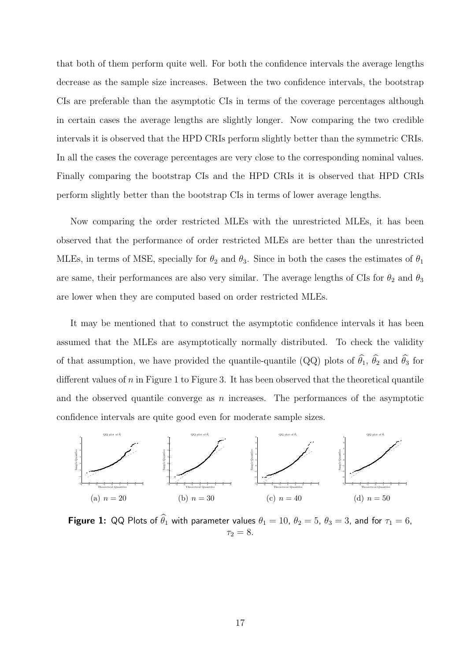that both of them perform quite well. For both the confidence intervals the average lengths decrease as the sample size increases. Between the two confidence intervals, the bootstrap CIs are preferable than the asymptotic CIs in terms of the coverage percentages although in certain cases the average lengths are slightly longer. Now comparing the two credible intervals it is observed that the HPD CRIs perform slightly better than the symmetric CRIs. In all the cases the coverage percentages are very close to the corresponding nominal values. Finally comparing the bootstrap CIs and the HPD CRIs it is observed that HPD CRIs perform slightly better than the bootstrap CIs in terms of lower average lengths.

Now comparing the order restricted MLEs with the unrestricted MLEs, it has been observed that the performance of order restricted MLEs are better than the unrestricted MLEs, in terms of MSE, specially for  $\theta_2$  and  $\theta_3$ . Since in both the cases the estimates of  $\theta_1$ are same, their performances are also very similar. The average lengths of CIs for  $\theta_2$  and  $\theta_3$ are lower when they are computed based on order restricted MLEs.

It may be mentioned that to construct the asymptotic confidence intervals it has been assumed that the MLEs are asymptotically normally distributed. To check the validity of that assumption, we have provided the quantile-quantile (QQ) plots of  $\hat{\theta}_1$ ,  $\hat{\theta}_2$  and  $\hat{\theta}_3$  for different values of  $n$  in Figure 1 to Figure 3. It has been observed that the theoretical quantile and the observed quantile converge as  $n$  increases. The performances of the asymptotic confidence intervals are quite good even for moderate sample sizes.



**Figure 1:** QQ Plots of  $\theta_1$  with parameter values  $\theta_1 = 10$ ,  $\theta_2 = 5$ ,  $\theta_3 = 3$ , and for  $\tau_1 = 6$ ,  $\tau_2 = 8.$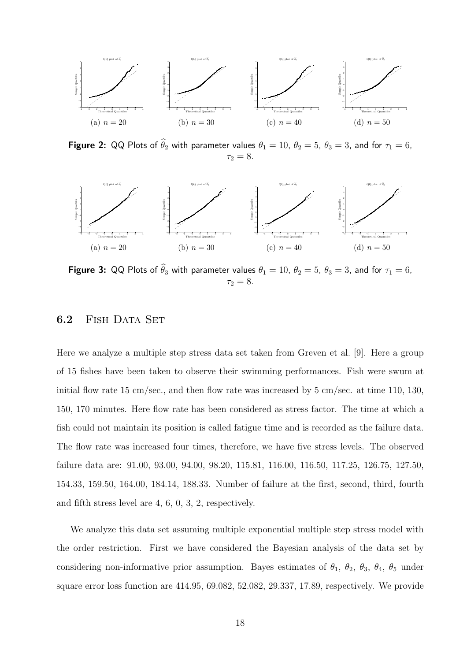

**Figure 2:** QQ Plots of  $\widehat{\theta}_2$  with parameter values  $\theta_1 = 10$ ,  $\theta_2 = 5$ ,  $\theta_3 = 3$ , and for  $\tau_1 = 6$ ,  $\tau_2 = 8.$ 



**Figure 3:** QQ Plots of  $\widehat{\theta}_3$  with parameter values  $\theta_1 = 10$ ,  $\theta_2 = 5$ ,  $\theta_3 = 3$ , and for  $\tau_1 = 6$ ,  $\tau_2 = 8.$ 

#### 6.2 FISH DATA SET

Here we analyze a multiple step stress data set taken from Greven et al. [9]. Here a group of 15 fishes have been taken to observe their swimming performances. Fish were swum at initial flow rate 15 cm/sec., and then flow rate was increased by 5 cm/sec. at time 110, 130, 150, 170 minutes. Here flow rate has been considered as stress factor. The time at which a fish could not maintain its position is called fatigue time and is recorded as the failure data. The flow rate was increased four times, therefore, we have five stress levels. The observed failure data are: 91.00, 93.00, 94.00, 98.20, 115.81, 116.00, 116.50, 117.25, 126.75, 127.50, 154.33, 159.50, 164.00, 184.14, 188.33. Number of failure at the first, second, third, fourth and fifth stress level are 4, 6, 0, 3, 2, respectively.

We analyze this data set assuming multiple exponential multiple step stress model with the order restriction. First we have considered the Bayesian analysis of the data set by considering non-informative prior assumption. Bayes estimates of  $\theta_1$ ,  $\theta_2$ ,  $\theta_3$ ,  $\theta_4$ ,  $\theta_5$  under square error loss function are 414.95, 69.082, 52.082, 29.337, 17.89, respectively. We provide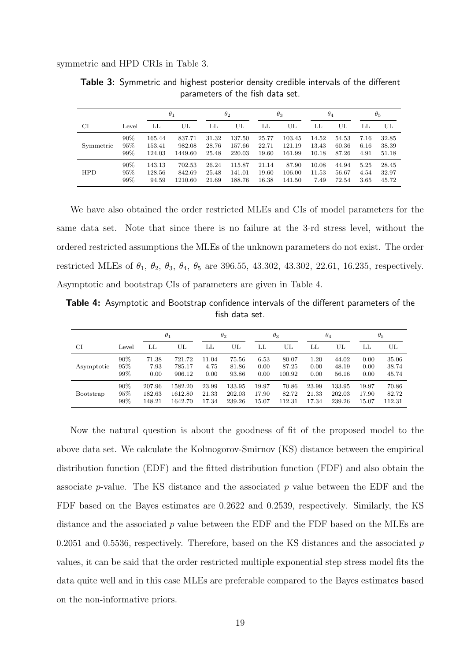symmetric and HPD CRIs in Table 3.

|            |       |        | $\theta_1$ |       | $\theta_2$ |       | $\theta_3$ |       | $\theta_4$ |      | $\theta_{5}$ |
|------------|-------|--------|------------|-------|------------|-------|------------|-------|------------|------|--------------|
| CI         | Level | LL     | UL         | LL    | UL         | LL    | UL         | LL    | UL         | LL   | UL           |
| Symmetric  | 90%   | 165.44 | 837.71     | 31.32 | 137.50     | 25.77 | 103.45     | 14.52 | 54.53      | 7.16 | 32.85        |
|            | 95%   | 153.41 | 982.08     | 28.76 | 157.66     | 22.71 | 121.19     | 13.43 | 60.36      | 6.16 | 38.39        |
|            | 99%   | 124.03 | 1449.60    | 25.48 | 220.03     | 19.60 | 161.99     | 10.18 | 87.26      | 4.91 | 51.18        |
| <b>HPD</b> | 90%   | 143.13 | 702.53     | 26.24 | 115.87     | 21.14 | 87.90      | 10.08 | 44.94      | 5.25 | 28.45        |
|            | 95%   | 128.56 | 842.69     | 25.48 | 141.01     | 19.60 | 106.00     | 11.53 | 56.67      | 4.54 | 32.97        |
|            | 99%   | 94.59  | 1210.60    | 21.69 | 188.76     | 16.38 | 141.50     | 7.49  | 72.54      | 3.65 | 45.72        |

Table 3: Symmetric and highest posterior density credible intervals of the different parameters of the fish data set.

We have also obtained the order restricted MLEs and CIs of model parameters for the same data set. Note that since there is no failure at the 3-rd stress level, without the ordered restricted assumptions the MLEs of the unknown parameters do not exist. The order restricted MLEs of  $\theta_1$ ,  $\theta_2$ ,  $\theta_3$ ,  $\theta_4$ ,  $\theta_5$  are 396.55, 43.302, 43.302, 22.61, 16.235, respectively. Asymptotic and bootstrap CIs of parameters are given in Table 4.

Table 4: Asymptotic and Bootstrap confidence intervals of the different parameters of the fish data set.

|            |       | $\theta_1$ |         | $\theta_2$ |        | $\theta_3$ |        | $\theta_4$ |        | $\theta_{5}$ |        |
|------------|-------|------------|---------|------------|--------|------------|--------|------------|--------|--------------|--------|
| CI         | Level | LL         | UL      | LL         | UL     | LL         | UL     | LL         | UL     | LL           | UL     |
| Asymptotic | 90%   | 71.38      | 721.72  | 11.04      | 75.56  | 6.53       | 80.07  | 1.20       | 44.02  | 0.00         | 35.06  |
|            | 95%   | 7.93       | 785.17  | 4.75       | 81.86  | 0.00       | 87.25  | 0.00       | 48.19  | 0.00         | 38.74  |
|            | 99%   | 0.00       | 906.12  | 0.00       | 93.86  | 0.00       | 100.92 | 0.00       | 56.16  | 0.00         | 45.74  |
| Bootstrap  | 90%   | 207.96     | 1582.20 | 23.99      | 133.95 | 19.97      | 70.86  | 23.99      | 133.95 | 19.97        | 70.86  |
|            | 95%   | 182.63     | 1612.80 | 21.33      | 202.03 | 17.90      | 82.72  | 21.33      | 202.03 | 17.90        | 82.72  |
|            | 99%   | 148.21     | 1642.70 | 17.34      | 239.26 | 15.07      | 112.31 | 17.34      | 239.26 | 15.07        | 112.31 |

Now the natural question is about the goodness of fit of the proposed model to the above data set. We calculate the Kolmogorov-Smirnov (KS) distance between the empirical distribution function (EDF) and the fitted distribution function (FDF) and also obtain the associate  $p$ -value. The KS distance and the associated  $p$  value between the EDF and the FDF based on the Bayes estimates are 0.2622 and 0.2539, respectively. Similarly, the KS distance and the associated  $p$  value between the EDF and the FDF based on the MLEs are 0.2051 and 0.5536, respectively. Therefore, based on the KS distances and the associated  $p$ values, it can be said that the order restricted multiple exponential step stress model fits the data quite well and in this case MLEs are preferable compared to the Bayes estimates based on the non-informative priors.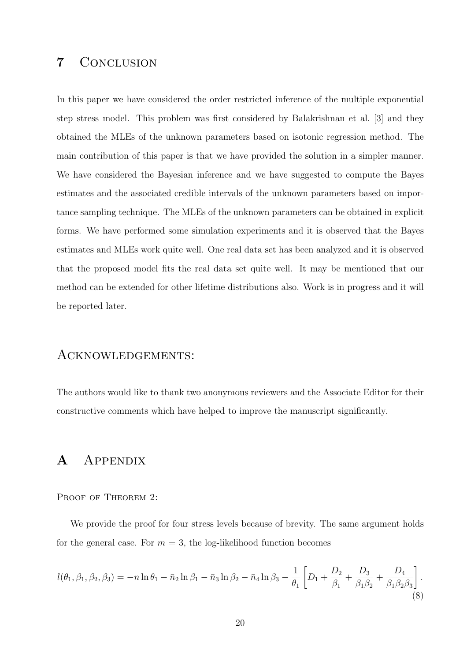# 7 Conclusion

In this paper we have considered the order restricted inference of the multiple exponential step stress model. This problem was first considered by Balakrishnan et al. [3] and they obtained the MLEs of the unknown parameters based on isotonic regression method. The main contribution of this paper is that we have provided the solution in a simpler manner. We have considered the Bayesian inference and we have suggested to compute the Bayes estimates and the associated credible intervals of the unknown parameters based on importance sampling technique. The MLEs of the unknown parameters can be obtained in explicit forms. We have performed some simulation experiments and it is observed that the Bayes estimates and MLEs work quite well. One real data set has been analyzed and it is observed that the proposed model fits the real data set quite well. It may be mentioned that our method can be extended for other lifetime distributions also. Work is in progress and it will be reported later.

### Acknowledgements:

The authors would like to thank two anonymous reviewers and the Associate Editor for their constructive comments which have helped to improve the manuscript significantly.

# A Appendix

PROOF OF THEOREM 2:

We provide the proof for four stress levels because of brevity. The same argument holds for the general case. For  $m = 3$ , the log-likelihood function becomes

$$
l(\theta_1, \beta_1, \beta_2, \beta_3) = -n \ln \theta_1 - \bar{n}_2 \ln \beta_1 - \bar{n}_3 \ln \beta_2 - \bar{n}_4 \ln \beta_3 - \frac{1}{\theta_1} \left[ D_1 + \frac{D_2}{\beta_1} + \frac{D_3}{\beta_1 \beta_2} + \frac{D_4}{\beta_1 \beta_2 \beta_3} \right].
$$
\n(8)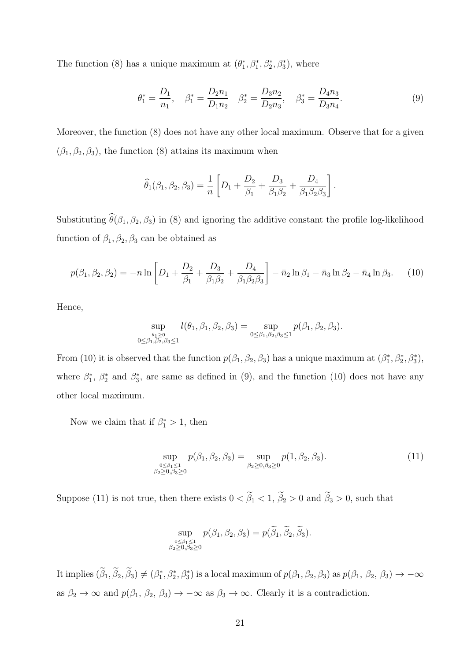The function (8) has a unique maximum at  $(\theta_1^*, \beta_1^*, \beta_2^*, \beta_3^*)$ , where

$$
\theta_1^* = \frac{D_1}{n_1}, \quad \beta_1^* = \frac{D_2 n_1}{D_1 n_2} \quad \beta_2^* = \frac{D_3 n_2}{D_2 n_3}, \quad \beta_3^* = \frac{D_4 n_3}{D_3 n_4}.\tag{9}
$$

Moreover, the function (8) does not have any other local maximum. Observe that for a given  $(\beta_1, \beta_2, \beta_3)$ , the function (8) attains its maximum when

$$
\widehat{\theta}_{1}(\beta_{1}, \beta_{2}, \beta_{3}) = \frac{1}{n} \left[ D_{1} + \frac{D_{2}}{\beta_{1}} + \frac{D_{3}}{\beta_{1}\beta_{2}} + \frac{D_{4}}{\beta_{1}\beta_{2}\beta_{3}} \right].
$$

Substituting  $\hat{\theta}(\beta_1, \beta_2, \beta_3)$  in (8) and ignoring the additive constant the profile log-likelihood function of  $\beta_1, \beta_2, \beta_3$  can be obtained as

$$
p(\beta_1, \beta_2, \beta_2) = -n \ln \left[ D_1 + \frac{D_2}{\beta_1} + \frac{D_3}{\beta_1 \beta_2} + \frac{D_4}{\beta_1 \beta_2 \beta_3} \right] - \bar{n}_2 \ln \beta_1 - \bar{n}_3 \ln \beta_2 - \bar{n}_4 \ln \beta_3. \tag{10}
$$

Hence,

$$
\sup_{\substack{\theta_1 \ge 0 \\ 0 \le \beta_1, \beta_2, \beta_3 \le 1}} l(\theta_1, \beta_1, \beta_2, \beta_3) = \sup_{0 \le \beta_1, \beta_2, \beta_3 \le 1} p(\beta_1, \beta_2, \beta_3).
$$

From (10) it is observed that the function  $p(\beta_1, \beta_2, \beta_3)$  has a unique maximum at  $(\beta_1^*, \beta_2^*, \beta_3^*)$ , where  $\beta_1^*, \beta_2^*$  and  $\beta_3^*$ , are same as defined in (9), and the function (10) does not have any other local maximum.

Now we claim that if  $\beta_1^* > 1$ , then

$$
\sup_{\substack{0 \le \beta_1 \le 1 \\ \beta_2 \ge 0, \beta_3 \ge 0}} p(\beta_1, \beta_2, \beta_3) = \sup_{\beta_2 \ge 0, \beta_3 \ge 0} p(1, \beta_2, \beta_3). \tag{11}
$$

Suppose (11) is not true, then there exists  $0 < \tilde{\beta}_1 < 1$ ,  $\tilde{\beta}_2 > 0$  and  $\tilde{\beta}_3 > 0$ , such that

$$
\sup_{\substack{0\leq\beta_1\leq 1\\ \beta_2\geq 0,\beta_3\geq 0}} p(\beta_1,\beta_2,\beta_3)=p(\beta_1,\beta_2,\beta_3).
$$

It implies  $(\beta_1, \beta_2, \beta_3) \neq (\beta_1^*, \beta_2^*, \beta_3^*)$  is a local maximum of  $p(\beta_1, \beta_2, \beta_3)$  as  $p(\beta_1, \beta_2, \beta_3) \to -\infty$ as  $\beta_2 \to \infty$  and  $p(\beta_1, \beta_2, \beta_3) \to -\infty$  as  $\beta_3 \to \infty$ . Clearly it is a contradiction.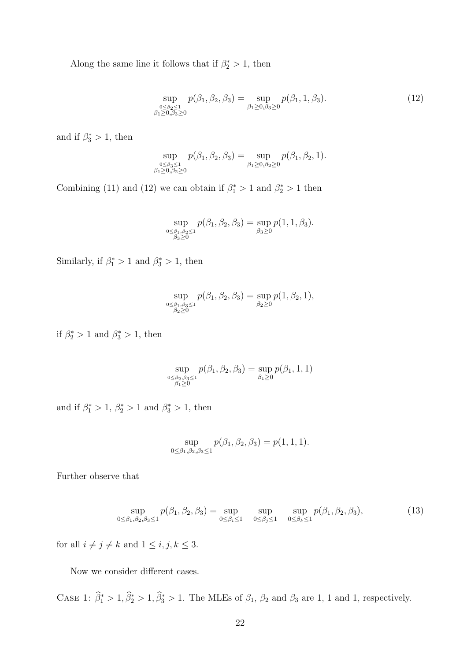Along the same line it follows that if  $\beta_2^* > 1$ , then

$$
\sup_{\substack{0 \le \beta_2 \le 1 \\ \beta_1 \ge 0, \beta_3 \ge 0}} p(\beta_1, \beta_2, \beta_3) = \sup_{\beta_1 \ge 0, \beta_3 \ge 0} p(\beta_1, 1, \beta_3). \tag{12}
$$

and if  $\beta_3^* > 1$ , then

$$
\sup_{\substack{0 \leq \beta_3 \leq 1 \\ \beta_1 \geq 0, \beta_2 \geq 0}} p(\beta_1, \beta_2, \beta_3) = \sup_{\beta_1 \geq 0, \beta_2 \geq 0} p(\beta_1, \beta_2, 1).
$$

Combining (11) and (12) we can obtain if  $\beta_1^* > 1$  and  $\beta_2^* > 1$  then

$$
\sup_{\substack{0 \leq \beta_1, \beta_2 \leq 1 \\ \beta_3 \geq 0}} p(\beta_1, \beta_2, \beta_3) = \sup_{\beta_3 \geq 0} p(1, 1, \beta_3).
$$

Similarly, if  $\beta_1^* > 1$  and  $\beta_3^* > 1$ , then

$$
\sup_{\substack{0 \leq \beta_1, \beta_3 \leq 1 \\ \beta_2 \geq 0}} p(\beta_1, \beta_2, \beta_3) = \sup_{\beta_2 \geq 0} p(1, \beta_2, 1),
$$

if  $\beta_2^* > 1$  and  $\beta_3^* > 1$ , then

$$
\sup_{\substack{0 \leq \beta_2, \beta_3 \leq 1 \\ \beta_1 \geq 0}} p(\beta_1, \beta_2, \beta_3) = \sup_{\beta_1 \geq 0} p(\beta_1, 1, 1)
$$

and if  $\beta_1^* > 1$ ,  $\beta_2^* > 1$  and  $\beta_3^* > 1$ , then

$$
\sup_{0 \le \beta_1, \beta_2, \beta_3 \le 1} p(\beta_1, \beta_2, \beta_3) = p(1, 1, 1).
$$

Further observe that

$$
\sup_{0 \le \beta_1, \beta_2, \beta_3 \le 1} p(\beta_1, \beta_2, \beta_3) = \sup_{0 \le \beta_i \le 1} \sup_{0 \le \beta_j \le 1} \sup_{0 \le \beta_k \le 1} p(\beta_1, \beta_2, \beta_3),
$$
(13)

for all  $i\neq j\neq k$  and  $1\leq i,j,k\leq 3.$ 

Now we consider different cases.

CASE 1:  $\beta_1^* > 1, \beta_2^* > 1, \beta_3^* > 1$ . The MLEs of  $\beta_1$ ,  $\beta_2$  and  $\beta_3$  are 1, 1 and 1, respectively.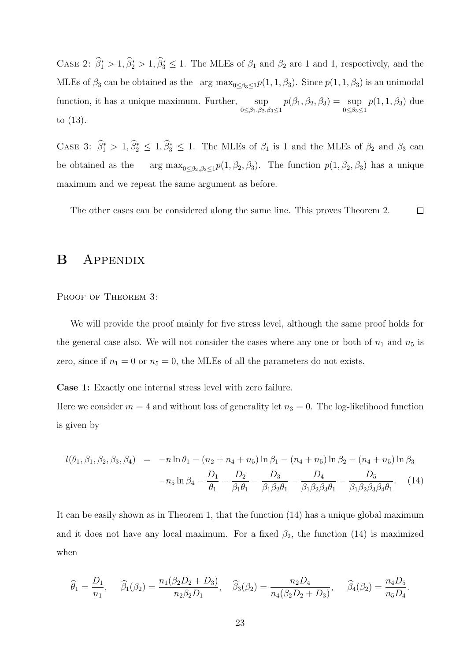CASE 2:  $\hat{\beta}_1^* > 1, \hat{\beta}_2^* > 1, \hat{\beta}_3^* \le 1$ . The MLEs of  $\beta_1$  and  $\beta_2$  are 1 and 1, respectively, and the MLEs of  $\beta_3$  can be obtained as the arg  $\max_{0 \leq \beta_3 \leq 1} p(1, 1, \beta_3)$ . Since  $p(1, 1, \beta_3)$  is an unimodal function, it has a unique maximum. Further, sup  $0 \leq \beta_1, \beta_2, \beta_3 \leq 1$  $p(\beta_1, \beta_2, \beta_3) = \sup$  $0 \leq \beta_3 \leq 1$  $p(1, 1, \beta_3)$  due to (13).

CASE 3:  $\hat{\beta}_1^* > 1, \hat{\beta}_2^* \leq 1, \hat{\beta}_3^* \leq 1$ . The MLEs of  $\beta_1$  is 1 and the MLEs of  $\beta_2$  and  $\beta_3$  can be obtained as the arg  $\max_{0 \leq \beta_2, \beta_3 \leq 1} p(1, \beta_2, \beta_3)$ . The function  $p(1, \beta_2, \beta_3)$  has a unique maximum and we repeat the same argument as before.

 $\Box$ The other cases can be considered along the same line. This proves Theorem 2.

# B Appendix

PROOF OF THEOREM 3:

We will provide the proof mainly for five stress level, although the same proof holds for the general case also. We will not consider the cases where any one or both of  $n_1$  and  $n_5$  is zero, since if  $n_1 = 0$  or  $n_5 = 0$ , the MLEs of all the parameters do not exists.

Case 1: Exactly one internal stress level with zero failure.

Here we consider  $m = 4$  and without loss of generality let  $n_3 = 0$ . The log-likelihood function is given by

$$
l(\theta_1, \beta_1, \beta_2, \beta_3, \beta_4) = -n \ln \theta_1 - (n_2 + n_4 + n_5) \ln \beta_1 - (n_4 + n_5) \ln \beta_2 - (n_4 + n_5) \ln \beta_3
$$

$$
-n_5 \ln \beta_4 - \frac{D_1}{\theta_1} - \frac{D_2}{\beta_1 \theta_1} - \frac{D_3}{\beta_1 \beta_2 \theta_1} - \frac{D_4}{\beta_1 \beta_2 \beta_3 \theta_1} - \frac{D_5}{\beta_1 \beta_2 \beta_3 \beta_4 \theta_1}.
$$
 (14)

It can be easily shown as in Theorem 1, that the function (14) has a unique global maximum and it does not have any local maximum. For a fixed  $\beta_2$ , the function (14) is maximized when

$$
\widehat{\theta}_1 = \frac{D_1}{n_1}, \quad \widehat{\beta}_1(\beta_2) = \frac{n_1(\beta_2 D_2 + D_3)}{n_2 \beta_2 D_1}, \quad \widehat{\beta}_3(\beta_2) = \frac{n_2 D_4}{n_4(\beta_2 D_2 + D_3)}, \quad \widehat{\beta}_4(\beta_2) = \frac{n_4 D_5}{n_5 D_4}.
$$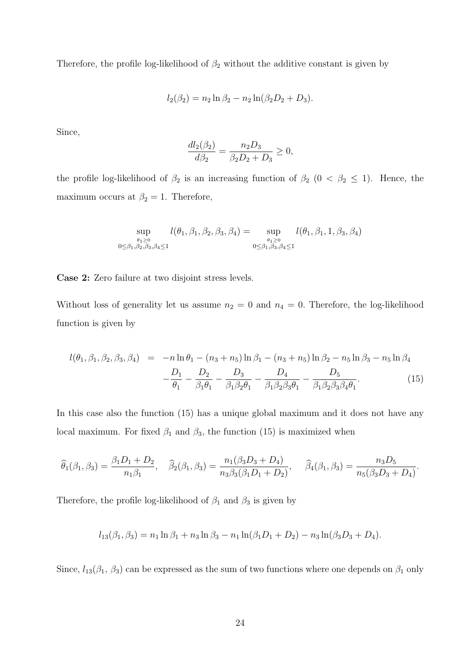Therefore, the profile log-likelihood of  $\beta_2$  without the additive constant is given by

$$
l_2(\beta_2) = n_2 \ln \beta_2 - n_2 \ln(\beta_2 D_2 + D_3).
$$

Since,

$$
\frac{dl_2(\beta_2)}{d\beta_2} = \frac{n_2 D_3}{\beta_2 D_2 + D_3} \ge 0,
$$

the profile log-likelihood of  $\beta_2$  is an increasing function of  $\beta_2$  (0 <  $\beta_2 \leq 1$ ). Hence, the maximum occurs at  $\beta_2 = 1$ . Therefore,

$$
\sup_{\theta_1 \ge 0 \atop 0 \le \beta_1, \beta_2, \beta_3, \beta_4 \le 1} l(\theta_1, \beta_1, \beta_2, \beta_3, \beta_4) = \sup_{\theta_1 \ge 0 \atop 0 \le \beta_1, \beta_3, \beta_4 \le 1} l(\theta_1, \beta_1, 1, \beta_3, \beta_4)
$$

Case 2: Zero failure at two disjoint stress levels.

Without loss of generality let us assume  $n_2 = 0$  and  $n_4 = 0$ . Therefore, the log-likelihood function is given by

$$
l(\theta_1, \beta_1, \beta_2, \beta_3, \beta_4) = -n \ln \theta_1 - (n_3 + n_5) \ln \beta_1 - (n_3 + n_5) \ln \beta_2 - n_5 \ln \beta_3 - n_5 \ln \beta_4
$$
  

$$
- \frac{D_1}{\theta_1} - \frac{D_2}{\beta_1 \theta_1} - \frac{D_3}{\beta_1 \beta_2 \theta_1} - \frac{D_4}{\beta_1 \beta_2 \beta_3 \theta_1} - \frac{D_5}{\beta_1 \beta_2 \beta_3 \beta_4 \theta_1}.
$$
 (15)

In this case also the function (15) has a unique global maximum and it does not have any local maximum. For fixed  $\beta_1$  and  $\beta_3$ , the function (15) is maximized when

$$
\widehat{\theta}_1(\beta_1, \beta_3) = \frac{\beta_1 D_1 + D_2}{n_1 \beta_1}, \quad \widehat{\beta}_2(\beta_1, \beta_3) = \frac{n_1(\beta_3 D_3 + D_4)}{n_3 \beta_3(\beta_1 D_1 + D_2)}, \quad \widehat{\beta}_4(\beta_1, \beta_3) = \frac{n_3 D_5}{n_5(\beta_3 D_3 + D_4)}.
$$

Therefore, the profile log-likelihood of  $\beta_1$  and  $\beta_3$  is given by

$$
l_{13}(\beta_1, \beta_3) = n_1 \ln \beta_1 + n_3 \ln \beta_3 - n_1 \ln(\beta_1 D_1 + D_2) - n_3 \ln(\beta_3 D_3 + D_4).
$$

Since,  $l_{13}(\beta_1, \beta_3)$  can be expressed as the sum of two functions where one depends on  $\beta_1$  only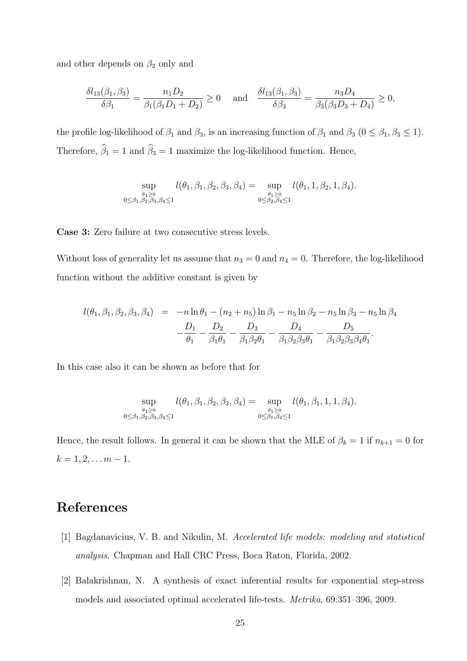and other depends on  $\beta_2$  only and

$$
\frac{\delta l_{13}(\beta_1, \beta_3)}{\delta \beta_1} = \frac{n_1 D_2}{\beta_1(\beta_1 D_1 + D_2)} \ge 0 \quad \text{and} \quad \frac{\delta l_{13}(\beta_1, \beta_3)}{\delta \beta_3} = \frac{n_3 D_4}{\beta_3(\beta_3 D_3 + D_4)} \ge 0,
$$

the profile log-likelihood of  $\beta_1$  and  $\beta_3$ , is an increasing function of  $\beta_1$  and  $\beta_3$  ( $0 \le \beta_1, \beta_3 \le 1$ ). Therefore,  $\widehat{\beta}_1 = 1$  and  $\widehat{\beta}_3 = 1$  maximize the log-likelihood function. Hence,

$$
\sup_{\substack{\theta_1 \ge 0 \\ 0 \le \beta_1, \beta_2, \beta_3, \beta_4 \le 1}} l(\theta_1, \beta_1, \beta_2, \beta_3, \beta_4) = \sup_{\substack{\theta_1 \ge 0 \\ 0 \le \beta_2, \beta_4 \le 1}} l(\theta_1, 1, \beta_2, 1, \beta_4).
$$

Case 3: Zero failure at two consecutive stress levels.

Without loss of generality let us assume that  $n_3 = 0$  and  $n_4 = 0$ . Therefore, the log-likelihood function without the additive constant is given by

$$
l(\theta_1, \beta_1, \beta_2, \beta_3, \beta_4) = -n \ln \theta_1 - (n_2 + n_5) \ln \beta_1 - n_5 \ln \beta_2 - n_5 \ln \beta_3 - n_5 \ln \beta_4
$$
  

$$
- \frac{D_1}{\theta_1} - \frac{D_2}{\beta_1 \theta_1} - \frac{D_3}{\beta_1 \beta_2 \theta_1} - \frac{D_4}{\beta_1 \beta_2 \beta_3 \theta_1} - \frac{D_5}{\beta_1 \beta_2 \beta_3 \beta_4 \theta_1}.
$$

In this case also it can be shown as before that for

$$
\sup_{\substack{\theta_1 \ge 0 \\ 0 \le \beta_1, \beta_2, \beta_3, \beta_4 \le 1}} l(\theta_1, \beta_1, \beta_2, \beta_3, \beta_4) = \sup_{\substack{\theta_1 \ge 0 \\ 0 \le \beta_1, \beta_4 \le 1}} l(\theta_1, \beta_1, 1, 1, \beta_4).
$$

Hence, the result follows. In general it can be shown that the MLE of  $\beta_k = 1$  if  $n_{k+1} = 0$  for  $k = 1, 2, \ldots m - 1.$ 

# References

- [1] Bagdanavicius, V. B. and Nikulin, M. *Accelerated life models: modeling and statistical analysis*. Chapman and Hall CRC Press, Boca Raton, Florida, 2002.
- [2] Balakrishnan, N. A synthesis of exact inferential results for exponential step-stress models and associated optimal accelerated life-tests. *Metrika*, 69:351–396, 2009.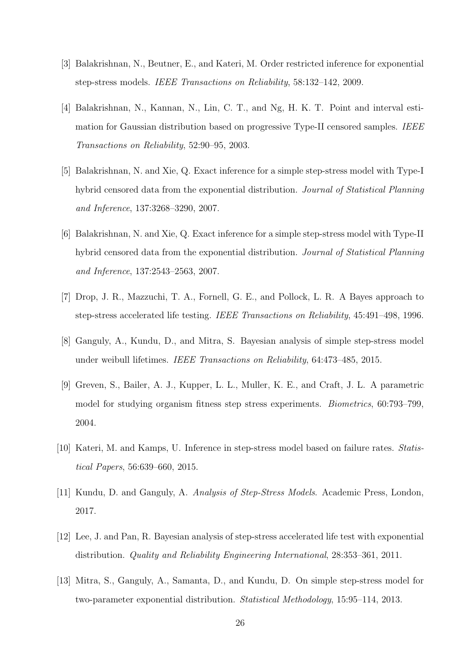- [3] Balakrishnan, N., Beutner, E., and Kateri, M. Order restricted inference for exponential step-stress models. *IEEE Transactions on Reliability*, 58:132–142, 2009.
- [4] Balakrishnan, N., Kannan, N., Lin, C. T., and Ng, H. K. T. Point and interval estimation for Gaussian distribution based on progressive Type-II censored samples. *IEEE Transactions on Reliability*, 52:90–95, 2003.
- [5] Balakrishnan, N. and Xie, Q. Exact inference for a simple step-stress model with Type-I hybrid censored data from the exponential distribution. *Journal of Statistical Planning and Inference*, 137:3268–3290, 2007.
- [6] Balakrishnan, N. and Xie, Q. Exact inference for a simple step-stress model with Type-II hybrid censored data from the exponential distribution. *Journal of Statistical Planning and Inference*, 137:2543–2563, 2007.
- [7] Drop, J. R., Mazzuchi, T. A., Fornell, G. E., and Pollock, L. R. A Bayes approach to step-stress accelerated life testing. *IEEE Transactions on Reliability*, 45:491–498, 1996.
- [8] Ganguly, A., Kundu, D., and Mitra, S. Bayesian analysis of simple step-stress model under weibull lifetimes. *IEEE Transactions on Reliability*, 64:473–485, 2015.
- [9] Greven, S., Bailer, A. J., Kupper, L. L., Muller, K. E., and Craft, J. L. A parametric model for studying organism fitness step stress experiments. *Biometrics*, 60:793–799, 2004.
- [10] Kateri, M. and Kamps, U. Inference in step-stress model based on failure rates. *Statistical Papers*, 56:639–660, 2015.
- [11] Kundu, D. and Ganguly, A. *Analysis of Step-Stress Models*. Academic Press, London, 2017.
- [12] Lee, J. and Pan, R. Bayesian analysis of step-stress accelerated life test with exponential distribution. *Quality and Reliability Engineering International*, 28:353–361, 2011.
- [13] Mitra, S., Ganguly, A., Samanta, D., and Kundu, D. On simple step-stress model for two-parameter exponential distribution. *Statistical Methodology*, 15:95–114, 2013.